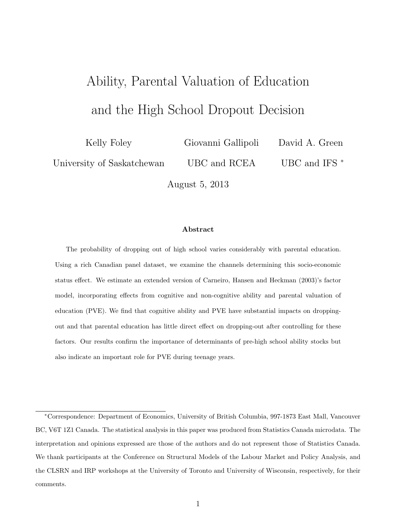# Ability, Parental Valuation of Education and the High School Dropout Decision

Kelly Foley

Giovanni Gallipoli

David A. Green

University of Saskatchewan

UBC and RCEA

UBC and IFS  $*$ 

August 5, 2013

#### Abstract

The probability of dropping out of high school varies considerably with parental education. Using a rich Canadian panel dataset, we examine the channels determining this socio-economic status effect. We estimate an extended version of Carneiro, Hansen and Heckman (2003)'s factor model, incorporating effects from cognitive and non-cognitive ability and parental valuation of education (PVE). We find that cognitive ability and PVE have substantial impacts on droppingout and that parental education has little direct effect on dropping-out after controlling for these factors. Our results confirm the importance of determinants of pre-high school ability stocks but also indicate an important role for PVE during teenage years.

<sup>∗</sup>Correspondence: Department of Economics, University of British Columbia, 997-1873 East Mall, Vancouver BC, V6T 1Z1 Canada. The statistical analysis in this paper was produced from Statistics Canada microdata. The interpretation and opinions expressed are those of the authors and do not represent those of Statistics Canada. We thank participants at the Conference on Structural Models of the Labour Market and Policy Analysis, and the CLSRN and IRP workshops at the University of Toronto and University of Wisconsin, respectively, for their comments.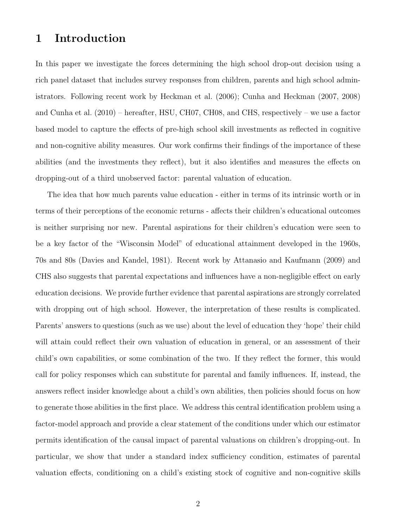### 1 Introduction

In this paper we investigate the forces determining the high school drop-out decision using a rich panel dataset that includes survey responses from children, parents and high school administrators. Following recent work by Heckman et al. (2006); Cunha and Heckman (2007, 2008) and Cunha et al. (2010) – hereafter, HSU, CH07, CH08, and CHS, respectively – we use a factor based model to capture the effects of pre-high school skill investments as reflected in cognitive and non-cognitive ability measures. Our work confirms their findings of the importance of these abilities (and the investments they reflect), but it also identifies and measures the effects on dropping-out of a third unobserved factor: parental valuation of education.

The idea that how much parents value education - either in terms of its intrinsic worth or in terms of their perceptions of the economic returns - affects their children's educational outcomes is neither surprising nor new. Parental aspirations for their children's education were seen to be a key factor of the "Wisconsin Model" of educational attainment developed in the 1960s, 70s and 80s (Davies and Kandel, 1981). Recent work by Attanasio and Kaufmann (2009) and CHS also suggests that parental expectations and influences have a non-negligible effect on early education decisions. We provide further evidence that parental aspirations are strongly correlated with dropping out of high school. However, the interpretation of these results is complicated. Parents' answers to questions (such as we use) about the level of education they 'hope' their child will attain could reflect their own valuation of education in general, or an assessment of their child's own capabilities, or some combination of the two. If they reflect the former, this would call for policy responses which can substitute for parental and family influences. If, instead, the answers reflect insider knowledge about a child's own abilities, then policies should focus on how to generate those abilities in the first place. We address this central identification problem using a factor-model approach and provide a clear statement of the conditions under which our estimator permits identification of the causal impact of parental valuations on children's dropping-out. In particular, we show that under a standard index sufficiency condition, estimates of parental valuation effects, conditioning on a child's existing stock of cognitive and non-cognitive skills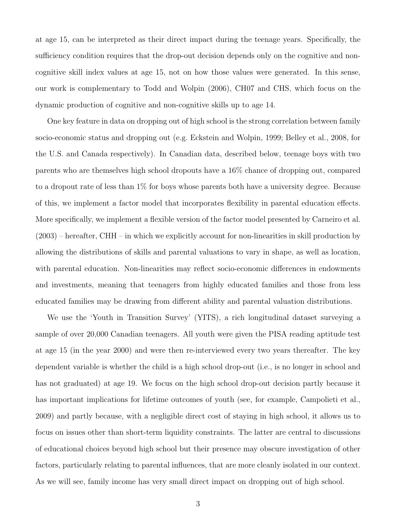at age 15, can be interpreted as their direct impact during the teenage years. Specifically, the sufficiency condition requires that the drop-out decision depends only on the cognitive and noncognitive skill index values at age 15, not on how those values were generated. In this sense, our work is complementary to Todd and Wolpin (2006), CH07 and CHS, which focus on the dynamic production of cognitive and non-cognitive skills up to age 14.

One key feature in data on dropping out of high school is the strong correlation between family socio-economic status and dropping out (e.g. Eckstein and Wolpin, 1999; Belley et al., 2008, for the U.S. and Canada respectively). In Canadian data, described below, teenage boys with two parents who are themselves high school dropouts have a 16% chance of dropping out, compared to a dropout rate of less than 1% for boys whose parents both have a university degree. Because of this, we implement a factor model that incorporates flexibility in parental education effects. More specifically, we implement a flexible version of the factor model presented by Carneiro et al. (2003) – hereafter, CHH – in which we explicitly account for non-linearities in skill production by allowing the distributions of skills and parental valuations to vary in shape, as well as location, with parental education. Non-linearities may reflect socio-economic differences in endowments and investments, meaning that teenagers from highly educated families and those from less educated families may be drawing from different ability and parental valuation distributions.

We use the 'Youth in Transition Survey' (YITS), a rich longitudinal dataset surveying a sample of over 20,000 Canadian teenagers. All youth were given the PISA reading aptitude test at age 15 (in the year 2000) and were then re-interviewed every two years thereafter. The key dependent variable is whether the child is a high school drop-out (i.e., is no longer in school and has not graduated) at age 19. We focus on the high school drop-out decision partly because it has important implications for lifetime outcomes of youth (see, for example, Campolieti et al., 2009) and partly because, with a negligible direct cost of staying in high school, it allows us to focus on issues other than short-term liquidity constraints. The latter are central to discussions of educational choices beyond high school but their presence may obscure investigation of other factors, particularly relating to parental influences, that are more cleanly isolated in our context. As we will see, family income has very small direct impact on dropping out of high school.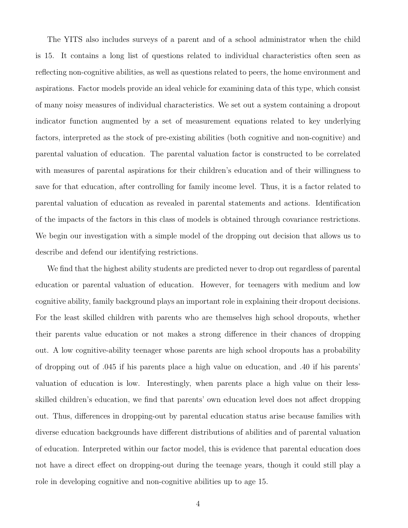The YITS also includes surveys of a parent and of a school administrator when the child is 15. It contains a long list of questions related to individual characteristics often seen as reflecting non-cognitive abilities, as well as questions related to peers, the home environment and aspirations. Factor models provide an ideal vehicle for examining data of this type, which consist of many noisy measures of individual characteristics. We set out a system containing a dropout indicator function augmented by a set of measurement equations related to key underlying factors, interpreted as the stock of pre-existing abilities (both cognitive and non-cognitive) and parental valuation of education. The parental valuation factor is constructed to be correlated with measures of parental aspirations for their children's education and of their willingness to save for that education, after controlling for family income level. Thus, it is a factor related to parental valuation of education as revealed in parental statements and actions. Identification of the impacts of the factors in this class of models is obtained through covariance restrictions. We begin our investigation with a simple model of the dropping out decision that allows us to describe and defend our identifying restrictions.

We find that the highest ability students are predicted never to drop out regardless of parental education or parental valuation of education. However, for teenagers with medium and low cognitive ability, family background plays an important role in explaining their dropout decisions. For the least skilled children with parents who are themselves high school dropouts, whether their parents value education or not makes a strong difference in their chances of dropping out. A low cognitive-ability teenager whose parents are high school dropouts has a probability of dropping out of .045 if his parents place a high value on education, and .40 if his parents' valuation of education is low. Interestingly, when parents place a high value on their lessskilled children's education, we find that parents' own education level does not affect dropping out. Thus, differences in dropping-out by parental education status arise because families with diverse education backgrounds have different distributions of abilities and of parental valuation of education. Interpreted within our factor model, this is evidence that parental education does not have a direct effect on dropping-out during the teenage years, though it could still play a role in developing cognitive and non-cognitive abilities up to age 15.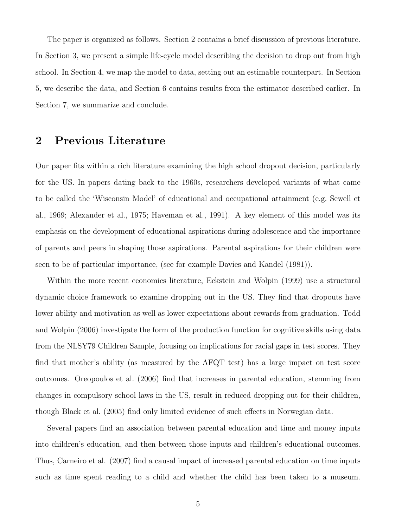The paper is organized as follows. Section 2 contains a brief discussion of previous literature. In Section 3, we present a simple life-cycle model describing the decision to drop out from high school. In Section 4, we map the model to data, setting out an estimable counterpart. In Section 5, we describe the data, and Section 6 contains results from the estimator described earlier. In Section 7, we summarize and conclude.

### 2 Previous Literature

Our paper fits within a rich literature examining the high school dropout decision, particularly for the US. In papers dating back to the 1960s, researchers developed variants of what came to be called the 'Wisconsin Model' of educational and occupational attainment (e.g. Sewell et al., 1969; Alexander et al., 1975; Haveman et al., 1991). A key element of this model was its emphasis on the development of educational aspirations during adolescence and the importance of parents and peers in shaping those aspirations. Parental aspirations for their children were seen to be of particular importance, (see for example Davies and Kandel (1981)).

Within the more recent economics literature, Eckstein and Wolpin (1999) use a structural dynamic choice framework to examine dropping out in the US. They find that dropouts have lower ability and motivation as well as lower expectations about rewards from graduation. Todd and Wolpin (2006) investigate the form of the production function for cognitive skills using data from the NLSY79 Children Sample, focusing on implications for racial gaps in test scores. They find that mother's ability (as measured by the AFQT test) has a large impact on test score outcomes. Oreopoulos et al. (2006) find that increases in parental education, stemming from changes in compulsory school laws in the US, result in reduced dropping out for their children, though Black et al. (2005) find only limited evidence of such effects in Norwegian data.

Several papers find an association between parental education and time and money inputs into children's education, and then between those inputs and children's educational outcomes. Thus, Carneiro et al. (2007) find a causal impact of increased parental education on time inputs such as time spent reading to a child and whether the child has been taken to a museum.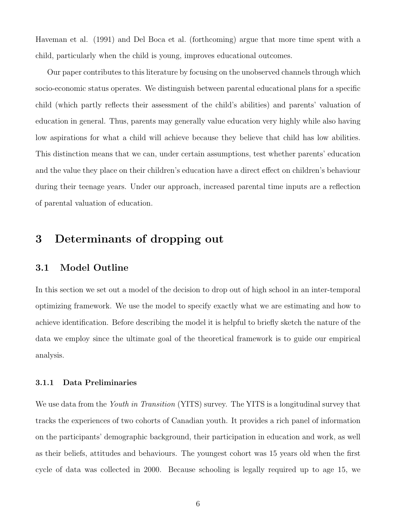Haveman et al. (1991) and Del Boca et al. (forthcoming) argue that more time spent with a child, particularly when the child is young, improves educational outcomes.

Our paper contributes to this literature by focusing on the unobserved channels through which socio-economic status operates. We distinguish between parental educational plans for a specific child (which partly reflects their assessment of the child's abilities) and parents' valuation of education in general. Thus, parents may generally value education very highly while also having low aspirations for what a child will achieve because they believe that child has low abilities. This distinction means that we can, under certain assumptions, test whether parents' education and the value they place on their children's education have a direct effect on children's behaviour during their teenage years. Under our approach, increased parental time inputs are a reflection of parental valuation of education.

### 3 Determinants of dropping out

#### 3.1 Model Outline

In this section we set out a model of the decision to drop out of high school in an inter-temporal optimizing framework. We use the model to specify exactly what we are estimating and how to achieve identification. Before describing the model it is helpful to briefly sketch the nature of the data we employ since the ultimate goal of the theoretical framework is to guide our empirical analysis.

#### 3.1.1 Data Preliminaries

We use data from the Youth in Transition (YITS) survey. The YITS is a longitudinal survey that tracks the experiences of two cohorts of Canadian youth. It provides a rich panel of information on the participants' demographic background, their participation in education and work, as well as their beliefs, attitudes and behaviours. The youngest cohort was 15 years old when the first cycle of data was collected in 2000. Because schooling is legally required up to age 15, we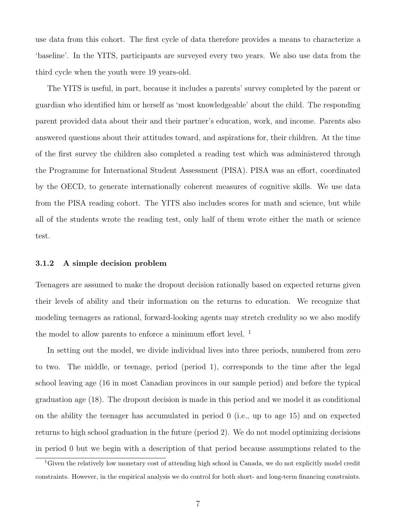use data from this cohort. The first cycle of data therefore provides a means to characterize a 'baseline'. In the YITS, participants are surveyed every two years. We also use data from the third cycle when the youth were 19 years-old.

The YITS is useful, in part, because it includes a parents' survey completed by the parent or guardian who identified him or herself as 'most knowledgeable' about the child. The responding parent provided data about their and their partner's education, work, and income. Parents also answered questions about their attitudes toward, and aspirations for, their children. At the time of the first survey the children also completed a reading test which was administered through the Programme for International Student Assessment (PISA). PISA was an effort, coordinated by the OECD, to generate internationally coherent measures of cognitive skills. We use data from the PISA reading cohort. The YITS also includes scores for math and science, but while all of the students wrote the reading test, only half of them wrote either the math or science test.

#### 3.1.2 A simple decision problem

Teenagers are assumed to make the dropout decision rationally based on expected returns given their levels of ability and their information on the returns to education. We recognize that modeling teenagers as rational, forward-looking agents may stretch credulity so we also modify the model to allow parents to enforce a minimum effort level.<sup>1</sup>

In setting out the model, we divide individual lives into three periods, numbered from zero to two. The middle, or teenage, period (period 1), corresponds to the time after the legal school leaving age (16 in most Canadian provinces in our sample period) and before the typical graduation age (18). The dropout decision is made in this period and we model it as conditional on the ability the teenager has accumulated in period 0 (i.e., up to age 15) and on expected returns to high school graduation in the future (period 2). We do not model optimizing decisions in period 0 but we begin with a description of that period because assumptions related to the

<sup>&</sup>lt;sup>1</sup>Given the relatively low monetary cost of attending high school in Canada, we do not explicitly model credit constraints. However, in the empirical analysis we do control for both short- and long-term financing constraints.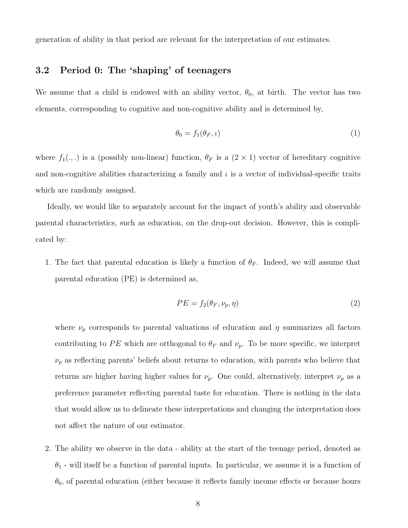generation of ability in that period are relevant for the interpretation of our estimates.

### 3.2 Period 0: The 'shaping' of teenagers

We assume that a child is endowed with an ability vector,  $\theta_0$ , at birth. The vector has two elements, corresponding to cognitive and non-cognitive ability and is determined by,

$$
\theta_0 = f_1(\theta_F, \iota) \tag{1}
$$

where  $f_1(.,.)$  is a (possibly non-linear) function,  $\theta_F$  is a  $(2 \times 1)$  vector of hereditary cognitive and non-cognitive abilities characterizing a family and  $\iota$  is a vector of individual-specific traits which are randomly assigned.

Ideally, we would like to separately account for the impact of youth's ability and observable parental characteristics, such as education, on the drop-out decision. However, this is complicated by:

1. The fact that parental education is likely a function of  $\theta_F$ . Indeed, we will assume that parental education (PE) is determined as,

$$
PE = f_2(\theta_F, \nu_p, \eta) \tag{2}
$$

where  $\nu_p$  corresponds to parental valuations of education and  $\eta$  summarizes all factors contributing to PE which are orthogonal to  $\theta_F$  and  $\nu_p$ . To be more specific, we interpret  $\nu_p$  as reflecting parents' beliefs about returns to education, with parents who believe that returns are higher having higher values for  $\nu_p$ . One could, alternatively, interpret  $\nu_p$  as a preference parameter reflecting parental taste for education. There is nothing in the data that would allow us to delineate these interpretations and changing the interpretation does not affect the nature of our estimator.

2. The ability we observe in the data - ability at the start of the teenage period, denoted as  $\theta_1$  - will itself be a function of parental inputs. In particular, we assume it is a function of  $\theta_0$ , of parental education (either because it reflects family income effects or because hours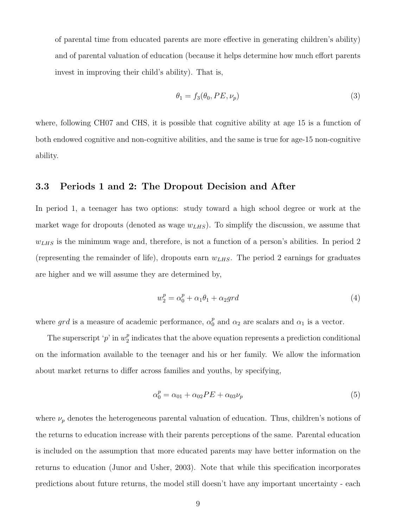of parental time from educated parents are more effective in generating children's ability) and of parental valuation of education (because it helps determine how much effort parents invest in improving their child's ability). That is,

$$
\theta_1 = f_3(\theta_0, PE, \nu_p) \tag{3}
$$

where, following CH07 and CHS, it is possible that cognitive ability at age 15 is a function of both endowed cognitive and non-cognitive abilities, and the same is true for age-15 non-cognitive ability.

#### 3.3 Periods 1 and 2: The Dropout Decision and After

In period 1, a teenager has two options: study toward a high school degree or work at the market wage for dropouts (denoted as wage  $w_{LHS}$ ). To simplify the discussion, we assume that  $w_{LHS}$  is the minimum wage and, therefore, is not a function of a person's abilities. In period 2 (representing the remainder of life), dropouts earn  $w_{LHS}$ . The period 2 earnings for graduates are higher and we will assume they are determined by,

$$
w_2^p = \alpha_0^p + \alpha_1 \theta_1 + \alpha_2 grd \tag{4}
$$

where grd is a measure of academic performance,  $\alpha_0^p$  $_0^p$  and  $\alpha_2$  are scalars and  $\alpha_1$  is a vector.

The superscript 'p' in  $w_2^p$  $\frac{p}{2}$  indicates that the above equation represents a prediction conditional on the information available to the teenager and his or her family. We allow the information about market returns to differ across families and youths, by specifying,

$$
\alpha_0^p = \alpha_{01} + \alpha_{02}PE + \alpha_{03}\nu_p \tag{5}
$$

where  $\nu_p$  denotes the heterogeneous parental valuation of education. Thus, children's notions of the returns to education increase with their parents perceptions of the same. Parental education is included on the assumption that more educated parents may have better information on the returns to education (Junor and Usher, 2003). Note that while this specification incorporates predictions about future returns, the model still doesn't have any important uncertainty - each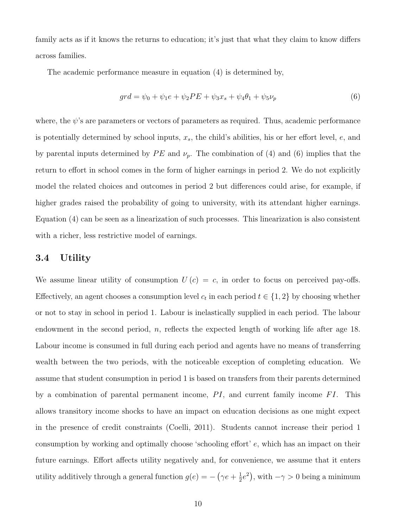family acts as if it knows the returns to education; it's just that what they claim to know differs across families.

The academic performance measure in equation (4) is determined by,

$$
grd = \psi_0 + \psi_1 e + \psi_2 PE + \psi_3 x_s + \psi_4 \theta_1 + \psi_5 \nu_p \tag{6}
$$

where, the  $\psi$ 's are parameters or vectors of parameters as required. Thus, academic performance is potentially determined by school inputs,  $x_s$ , the child's abilities, his or her effort level,  $e$ , and by parental inputs determined by  $PE$  and  $\nu_p$ . The combination of (4) and (6) implies that the return to effort in school comes in the form of higher earnings in period 2. We do not explicitly model the related choices and outcomes in period 2 but differences could arise, for example, if higher grades raised the probability of going to university, with its attendant higher earnings. Equation (4) can be seen as a linearization of such processes. This linearization is also consistent with a richer, less restrictive model of earnings.

#### 3.4 Utility

We assume linear utility of consumption  $U(c) = c$ , in order to focus on perceived pay-offs. Effectively, an agent chooses a consumption level  $c_t$  in each period  $t \in \{1,2\}$  by choosing whether or not to stay in school in period 1. Labour is inelastically supplied in each period. The labour endowment in the second period, n, reflects the expected length of working life after age 18. Labour income is consumed in full during each period and agents have no means of transferring wealth between the two periods, with the noticeable exception of completing education. We assume that student consumption in period 1 is based on transfers from their parents determined by a combination of parental permanent income,  $PI$ , and current family income  $FI$ . This allows transitory income shocks to have an impact on education decisions as one might expect in the presence of credit constraints (Coelli, 2011). Students cannot increase their period 1 consumption by working and optimally choose 'schooling effort' e, which has an impact on their future earnings. Effort affects utility negatively and, for convenience, we assume that it enters utility additively through a general function  $g(e) = -\left(\gamma e + \frac{1}{2}\right)$  $(\frac{1}{2}e^2)$ , with  $-\gamma > 0$  being a minimum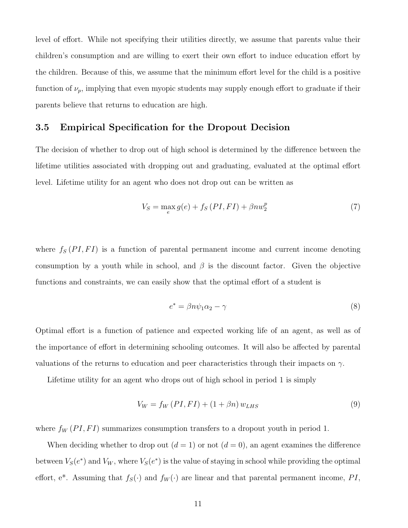level of effort. While not specifying their utilities directly, we assume that parents value their children's consumption and are willing to exert their own effort to induce education effort by the children. Because of this, we assume that the minimum effort level for the child is a positive function of  $\nu_p$ , implying that even myopic students may supply enough effort to graduate if their parents believe that returns to education are high.

#### 3.5 Empirical Specification for the Dropout Decision

The decision of whether to drop out of high school is determined by the difference between the lifetime utilities associated with dropping out and graduating, evaluated at the optimal effort level. Lifetime utility for an agent who does not drop out can be written as

$$
V_S = \max_e g(e) + f_S(PI, FI) + \beta n w_2^p \tag{7}
$$

where  $f_S(PI, FI)$  is a function of parental permanent income and current income denoting consumption by a youth while in school, and  $\beta$  is the discount factor. Given the objective functions and constraints, we can easily show that the optimal effort of a student is

$$
e^* = \beta n \psi_1 \alpha_2 - \gamma \tag{8}
$$

Optimal effort is a function of patience and expected working life of an agent, as well as of the importance of effort in determining schooling outcomes. It will also be affected by parental valuations of the returns to education and peer characteristics through their impacts on  $\gamma$ .

Lifetime utility for an agent who drops out of high school in period 1 is simply

$$
V_W = f_W \left(PI, FI\right) + \left(1 + \beta n\right) w_{LHS} \tag{9}
$$

where  $f_W(PI, FI)$  summarizes consumption transfers to a dropout youth in period 1.

When deciding whether to drop out  $(d = 1)$  or not  $(d = 0)$ , an agent examines the difference between  $V_S(e^*)$  and  $V_W$ , where  $V_S(e^*)$  is the value of staying in school while providing the optimal effort, e<sup>\*</sup>. Assuming that  $f_S(\cdot)$  and  $f_W(\cdot)$  are linear and that parental permanent income, PI,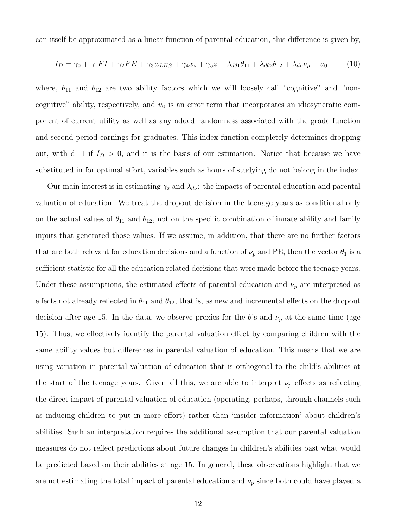can itself be approximated as a linear function of parental education, this difference is given by,

$$
I_D = \gamma_0 + \gamma_1 FI + \gamma_2 PE + \gamma_3 w_{LHS} + \gamma_4 x_s + \gamma_5 z + \lambda_{d\theta 1} \theta_{11} + \lambda_{d\theta 2} \theta_{12} + \lambda_{d\theta} \nu_p + u_0 \tag{10}
$$

where,  $\theta_{11}$  and  $\theta_{12}$  are two ability factors which we will loosely call "cognitive" and "noncognitive" ability, respectively, and  $u_0$  is an error term that incorporates an idiosyncratic component of current utility as well as any added randomness associated with the grade function and second period earnings for graduates. This index function completely determines dropping out, with d=1 if  $I_D > 0$ , and it is the basis of our estimation. Notice that because we have substituted in for optimal effort, variables such as hours of studying do not belong in the index.

Our main interest is in estimating  $\gamma_2$  and  $\lambda_{d\nu}$ : the impacts of parental education and parental valuation of education. We treat the dropout decision in the teenage years as conditional only on the actual values of  $\theta_{11}$  and  $\theta_{12}$ , not on the specific combination of innate ability and family inputs that generated those values. If we assume, in addition, that there are no further factors that are both relevant for education decisions and a function of  $\nu_p$  and PE, then the vector  $\theta_1$  is a sufficient statistic for all the education related decisions that were made before the teenage years. Under these assumptions, the estimated effects of parental education and  $\nu_p$  are interpreted as effects not already reflected in  $\theta_{11}$  and  $\theta_{12}$ , that is, as new and incremental effects on the dropout decision after age 15. In the data, we observe proxies for the  $\theta$ 's and  $\nu_p$  at the same time (age 15). Thus, we effectively identify the parental valuation effect by comparing children with the same ability values but differences in parental valuation of education. This means that we are using variation in parental valuation of education that is orthogonal to the child's abilities at the start of the teenage years. Given all this, we are able to interpret  $\nu_p$  effects as reflecting the direct impact of parental valuation of education (operating, perhaps, through channels such as inducing children to put in more effort) rather than 'insider information' about children's abilities. Such an interpretation requires the additional assumption that our parental valuation measures do not reflect predictions about future changes in children's abilities past what would be predicted based on their abilities at age 15. In general, these observations highlight that we are not estimating the total impact of parental education and  $\nu_p$  since both could have played a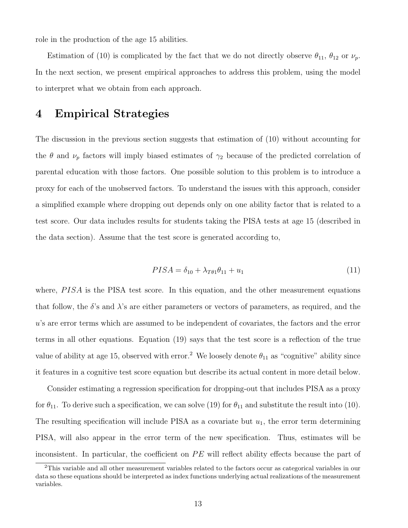role in the production of the age 15 abilities.

Estimation of (10) is complicated by the fact that we do not directly observe  $\theta_{11}$ ,  $\theta_{12}$  or  $\nu_p$ . In the next section, we present empirical approaches to address this problem, using the model to interpret what we obtain from each approach.

### 4 Empirical Strategies

The discussion in the previous section suggests that estimation of (10) without accounting for the  $\theta$  and  $\nu_p$  factors will imply biased estimates of  $\gamma_2$  because of the predicted correlation of parental education with those factors. One possible solution to this problem is to introduce a proxy for each of the unobserved factors. To understand the issues with this approach, consider a simplified example where dropping out depends only on one ability factor that is related to a test score. Our data includes results for students taking the PISA tests at age 15 (described in the data section). Assume that the test score is generated according to,

$$
PISA = \delta_{10} + \lambda_{T\theta 1}\theta_{11} + u_1 \tag{11}
$$

where,  $PISA$  is the PISA test score. In this equation, and the other measurement equations that follow, the  $\delta$ 's and  $\lambda$ 's are either parameters or vectors of parameters, as required, and the u's are error terms which are assumed to be independent of covariates, the factors and the error terms in all other equations. Equation (19) says that the test score is a reflection of the true value of ability at age 15, observed with error.<sup>2</sup> We loosely denote  $\theta_{11}$  as "cognitive" ability since it features in a cognitive test score equation but describe its actual content in more detail below.

Consider estimating a regression specification for dropping-out that includes PISA as a proxy for  $\theta_{11}$ . To derive such a specification, we can solve (19) for  $\theta_{11}$  and substitute the result into (10). The resulting specification will include PISA as a covariate but  $u_1$ , the error term determining PISA, will also appear in the error term of the new specification. Thus, estimates will be inconsistent. In particular, the coefficient on  $PE$  will reflect ability effects because the part of

<sup>&</sup>lt;sup>2</sup>This variable and all other measurement variables related to the factors occur as categorical variables in our data so these equations should be interpreted as index functions underlying actual realizations of the measurement variables.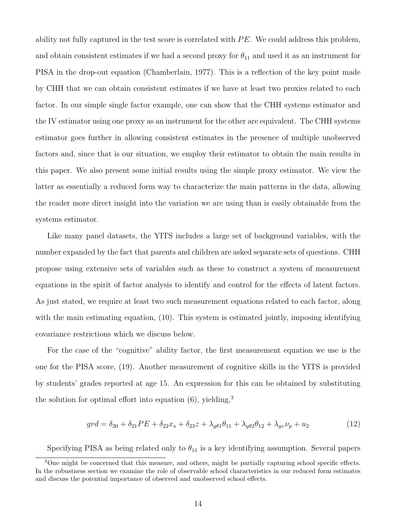ability not fully captured in the test score is correlated with  $PE$ . We could address this problem, and obtain consistent estimates if we had a second proxy for  $\theta_{11}$  and used it as an instrument for PISA in the drop-out equation (Chamberlain, 1977). This is a reflection of the key point made by CHH that we can obtain consistent estimates if we have at least two proxies related to each factor. In our simple single factor example, one can show that the CHH systems estimator and the IV estimator using one proxy as an instrument for the other are equivalent. The CHH systems estimator goes further in allowing consistent estimates in the presence of multiple unobserved factors and, since that is our situation, we employ their estimator to obtain the main results in this paper. We also present some initial results using the simple proxy estimator. We view the latter as essentially a reduced form way to characterize the main patterns in the data, allowing the reader more direct insight into the variation we are using than is easily obtainable from the systems estimator.

Like many panel datasets, the YITS includes a large set of background variables, with the number expanded by the fact that parents and children are asked separate sets of questions. CHH propose using extensive sets of variables such as these to construct a system of measurement equations in the spirit of factor analysis to identify and control for the effects of latent factors. As just stated, we require at least two such measurement equations related to each factor, along with the main estimating equation, (10). This system is estimated jointly, imposing identifying covariance restrictions which we discuss below.

For the case of the "cognitive" ability factor, the first measurement equation we use is the one for the PISA score, (19). Another measurement of cognitive skills in the YITS is provided by students' grades reported at age 15. An expression for this can be obtained by substituting the solution for optimal effort into equation  $(6)$ , yielding,<sup>3</sup>

$$
grd = \delta_{20} + \delta_{21}PE + \delta_{22}x_s + \delta_{23}z + \lambda_{g\theta 1}\theta_{11} + \lambda_{g\theta 2}\theta_{12} + \lambda_{g\upsilon}\nu_p + u_2
$$
 (12)

Specifying PISA as being related only to  $\theta_{11}$  is a key identifying assumption. Several papers

<sup>&</sup>lt;sup>3</sup>One might be concerned that this measure, and others, might be partially capturing school specific effects. In the robustness section we examine the role of observable school characteristics in our reduced form estimates and discuss the potential importance of observed and unobserved school effects.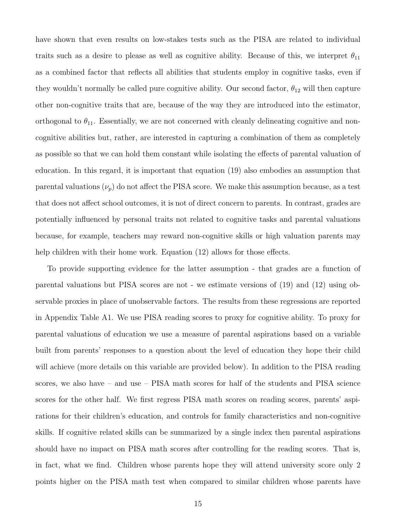have shown that even results on low-stakes tests such as the PISA are related to individual traits such as a desire to please as well as cognitive ability. Because of this, we interpret  $\theta_{11}$ as a combined factor that reflects all abilities that students employ in cognitive tasks, even if they wouldn't normally be called pure cognitive ability. Our second factor,  $\theta_{12}$  will then capture other non-cognitive traits that are, because of the way they are introduced into the estimator, orthogonal to  $\theta_{11}$ . Essentially, we are not concerned with cleanly delineating cognitive and noncognitive abilities but, rather, are interested in capturing a combination of them as completely as possible so that we can hold them constant while isolating the effects of parental valuation of education. In this regard, it is important that equation (19) also embodies an assumption that parental valuations  $(\nu_p)$  do not affect the PISA score. We make this assumption because, as a test that does not affect school outcomes, it is not of direct concern to parents. In contrast, grades are potentially influenced by personal traits not related to cognitive tasks and parental valuations because, for example, teachers may reward non-cognitive skills or high valuation parents may help children with their home work. Equation  $(12)$  allows for those effects.

To provide supporting evidence for the latter assumption - that grades are a function of parental valuations but PISA scores are not - we estimate versions of (19) and (12) using observable proxies in place of unobservable factors. The results from these regressions are reported in Appendix Table A1. We use PISA reading scores to proxy for cognitive ability. To proxy for parental valuations of education we use a measure of parental aspirations based on a variable built from parents' responses to a question about the level of education they hope their child will achieve (more details on this variable are provided below). In addition to the PISA reading scores, we also have – and use – PISA math scores for half of the students and PISA science scores for the other half. We first regress PISA math scores on reading scores, parents' aspirations for their children's education, and controls for family characteristics and non-cognitive skills. If cognitive related skills can be summarized by a single index then parental aspirations should have no impact on PISA math scores after controlling for the reading scores. That is, in fact, what we find. Children whose parents hope they will attend university score only 2 points higher on the PISA math test when compared to similar children whose parents have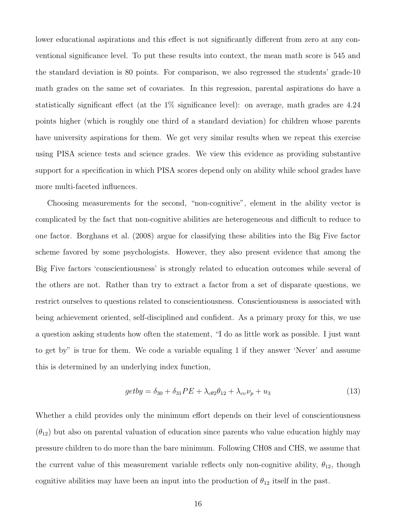lower educational aspirations and this effect is not significantly different from zero at any conventional significance level. To put these results into context, the mean math score is 545 and the standard deviation is 80 points. For comparison, we also regressed the students' grade-10 math grades on the same set of covariates. In this regression, parental aspirations do have a statistically significant effect (at the 1% significance level): on average, math grades are 4.24 points higher (which is roughly one third of a standard deviation) for children whose parents have university aspirations for them. We get very similar results when we repeat this exercise using PISA science tests and science grades. We view this evidence as providing substantive support for a specification in which PISA scores depend only on ability while school grades have more multi-faceted influences.

Choosing measurements for the second, "non-cognitive", element in the ability vector is complicated by the fact that non-cognitive abilities are heterogeneous and difficult to reduce to one factor. Borghans et al. (2008) argue for classifying these abilities into the Big Five factor scheme favored by some psychologists. However, they also present evidence that among the Big Five factors 'conscientiousness' is strongly related to education outcomes while several of the others are not. Rather than try to extract a factor from a set of disparate questions, we restrict ourselves to questions related to conscientiousness. Conscientiousness is associated with being achievement oriented, self-disciplined and confident. As a primary proxy for this, we use a question asking students how often the statement, "I do as little work as possible. I just want to get by" is true for them. We code a variable equaling 1 if they answer 'Never' and assume this is determined by an underlying index function,

$$
getby = \delta_{30} + \delta_{31}PE + \lambda_{c\theta 2}\theta_{12} + \lambda_{cv}\nu_p + u_3
$$
\n(13)

Whether a child provides only the minimum effort depends on their level of conscientiousness  $(\theta_{12})$  but also on parental valuation of education since parents who value education highly may pressure children to do more than the bare minimum. Following CH08 and CHS, we assume that the current value of this measurement variable reflects only non-cognitive ability,  $\theta_{12}$ , though cognitive abilities may have been an input into the production of  $\theta_{12}$  itself in the past.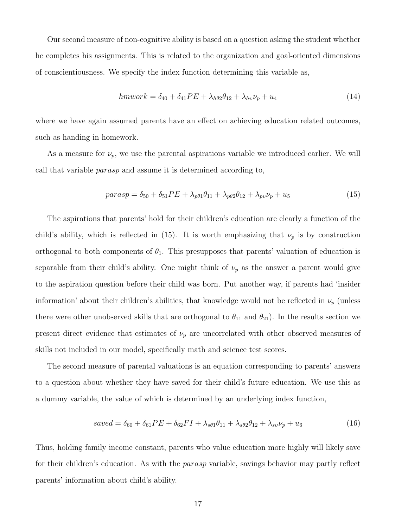Our second measure of non-cognitive ability is based on a question asking the student whether he completes his assignments. This is related to the organization and goal-oriented dimensions of conscientiousness. We specify the index function determining this variable as,

$$
hmwork = \delta_{40} + \delta_{41}PE + \lambda_{h\theta 2}\theta_{12} + \lambda_{hv}\nu_p + u_4
$$
\n(14)

where we have again assumed parents have an effect on achieving education related outcomes, such as handing in homework.

As a measure for  $\nu_p$ , we use the parental aspirations variable we introduced earlier. We will call that variable parasp and assume it is determined according to,

$$
parasp = \delta_{50} + \delta_{51}PE + \lambda_{p\theta 1}\theta_{11} + \lambda_{p\theta 2}\theta_{12} + \lambda_{pv}\nu_p + u_5
$$
 (15)

The aspirations that parents' hold for their children's education are clearly a function of the child's ability, which is reflected in (15). It is worth emphasizing that  $\nu_p$  is by construction orthogonal to both components of  $\theta_1$ . This presupposes that parents' valuation of education is separable from their child's ability. One might think of  $\nu_p$  as the answer a parent would give to the aspiration question before their child was born. Put another way, if parents had 'insider information' about their children's abilities, that knowledge would not be reflected in  $\nu_p$  (unless there were other unobserved skills that are orthogonal to  $\theta_{11}$  and  $\theta_{21}$ ). In the results section we present direct evidence that estimates of  $\nu_p$  are uncorrelated with other observed measures of skills not included in our model, specifically math and science test scores.

The second measure of parental valuations is an equation corresponding to parents' answers to a question about whether they have saved for their child's future education. We use this as a dummy variable, the value of which is determined by an underlying index function,

$$
saved = \delta_{60} + \delta_{61}PE + \delta_{62}FI + \lambda_{s\theta 1}\theta_{11} + \lambda_{s\theta 2}\theta_{12} + \lambda_{s\nu}\nu_p + u_6
$$
 (16)

Thus, holding family income constant, parents who value education more highly will likely save for their children's education. As with the *parasp* variable, savings behavior may partly reflect parents' information about child's ability.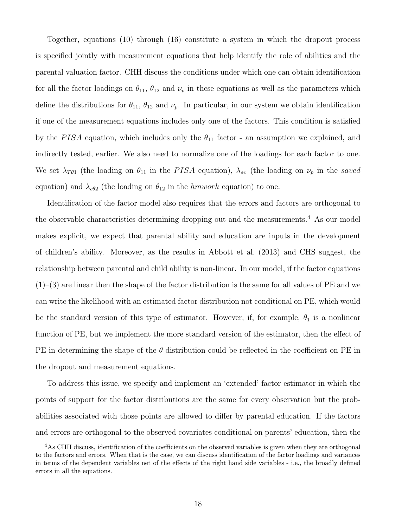Together, equations (10) through (16) constitute a system in which the dropout process is specified jointly with measurement equations that help identify the role of abilities and the parental valuation factor. CHH discuss the conditions under which one can obtain identification for all the factor loadings on  $\theta_{11}$ ,  $\theta_{12}$  and  $\nu_p$  in these equations as well as the parameters which define the distributions for  $\theta_{11}$ ,  $\theta_{12}$  and  $\nu_p$ . In particular, in our system we obtain identification if one of the measurement equations includes only one of the factors. This condition is satisfied by the PISA equation, which includes only the  $\theta_{11}$  factor - an assumption we explained, and indirectly tested, earlier. We also need to normalize one of the loadings for each factor to one. We set  $\lambda_{T\theta1}$  (the loading on  $\theta_{11}$  in the PISA equation),  $\lambda_{sv}$  (the loading on  $\nu_p$  in the saved equation) and  $\lambda_{c\theta 2}$  (the loading on  $\theta_{12}$  in the hmwork equation) to one.

Identification of the factor model also requires that the errors and factors are orthogonal to the observable characteristics determining dropping out and the measurements.<sup>4</sup> As our model makes explicit, we expect that parental ability and education are inputs in the development of children's ability. Moreover, as the results in Abbott et al. (2013) and CHS suggest, the relationship between parental and child ability is non-linear. In our model, if the factor equations  $(1)$ –(3) are linear then the shape of the factor distribution is the same for all values of PE and we can write the likelihood with an estimated factor distribution not conditional on PE, which would be the standard version of this type of estimator. However, if, for example,  $\theta_1$  is a nonlinear function of PE, but we implement the more standard version of the estimator, then the effect of PE in determining the shape of the  $\theta$  distribution could be reflected in the coefficient on PE in the dropout and measurement equations.

To address this issue, we specify and implement an 'extended' factor estimator in which the points of support for the factor distributions are the same for every observation but the probabilities associated with those points are allowed to differ by parental education. If the factors and errors are orthogonal to the observed covariates conditional on parents' education, then the

<sup>4</sup>As CHH discuss, identification of the coefficients on the observed variables is given when they are orthogonal to the factors and errors. When that is the case, we can discuss identification of the factor loadings and variances in terms of the dependent variables net of the effects of the right hand side variables - i.e., the broadly defined errors in all the equations.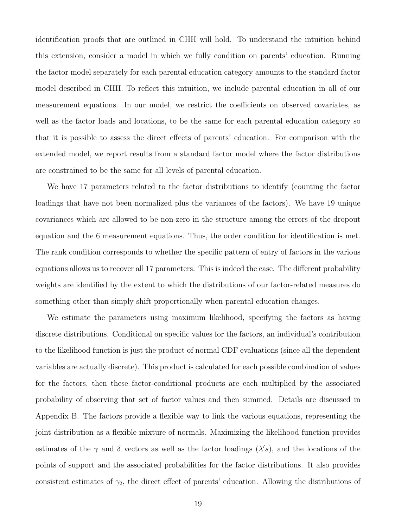identification proofs that are outlined in CHH will hold. To understand the intuition behind this extension, consider a model in which we fully condition on parents' education. Running the factor model separately for each parental education category amounts to the standard factor model described in CHH. To reflect this intuition, we include parental education in all of our measurement equations. In our model, we restrict the coefficients on observed covariates, as well as the factor loads and locations, to be the same for each parental education category so that it is possible to assess the direct effects of parents' education. For comparison with the extended model, we report results from a standard factor model where the factor distributions are constrained to be the same for all levels of parental education.

We have 17 parameters related to the factor distributions to identify (counting the factor loadings that have not been normalized plus the variances of the factors). We have 19 unique covariances which are allowed to be non-zero in the structure among the errors of the dropout equation and the 6 measurement equations. Thus, the order condition for identification is met. The rank condition corresponds to whether the specific pattern of entry of factors in the various equations allows us to recover all 17 parameters. This is indeed the case. The different probability weights are identified by the extent to which the distributions of our factor-related measures do something other than simply shift proportionally when parental education changes.

We estimate the parameters using maximum likelihood, specifying the factors as having discrete distributions. Conditional on specific values for the factors, an individual's contribution to the likelihood function is just the product of normal CDF evaluations (since all the dependent variables are actually discrete). This product is calculated for each possible combination of values for the factors, then these factor-conditional products are each multiplied by the associated probability of observing that set of factor values and then summed. Details are discussed in Appendix B. The factors provide a flexible way to link the various equations, representing the joint distribution as a flexible mixture of normals. Maximizing the likelihood function provides estimates of the  $\gamma$  and  $\delta$  vectors as well as the factor loadings  $(\lambda's)$ , and the locations of the points of support and the associated probabilities for the factor distributions. It also provides consistent estimates of  $\gamma_2$ , the direct effect of parents' education. Allowing the distributions of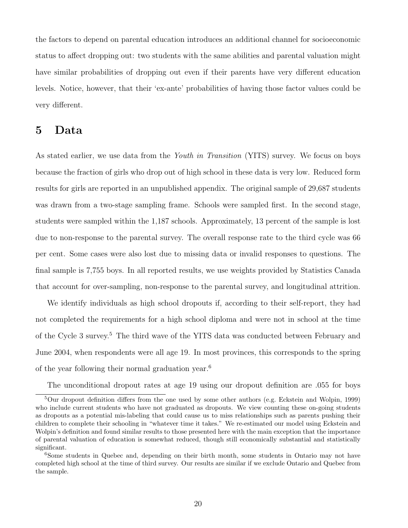the factors to depend on parental education introduces an additional channel for socioeconomic status to affect dropping out: two students with the same abilities and parental valuation might have similar probabilities of dropping out even if their parents have very different education levels. Notice, however, that their 'ex-ante' probabilities of having those factor values could be very different.

### 5 Data

As stated earlier, we use data from the Youth in Transition (YITS) survey. We focus on boys because the fraction of girls who drop out of high school in these data is very low. Reduced form results for girls are reported in an unpublished appendix. The original sample of 29,687 students was drawn from a two-stage sampling frame. Schools were sampled first. In the second stage, students were sampled within the 1,187 schools. Approximately, 13 percent of the sample is lost due to non-response to the parental survey. The overall response rate to the third cycle was 66 per cent. Some cases were also lost due to missing data or invalid responses to questions. The final sample is 7,755 boys. In all reported results, we use weights provided by Statistics Canada that account for over-sampling, non-response to the parental survey, and longitudinal attrition.

We identify individuals as high school dropouts if, according to their self-report, they had not completed the requirements for a high school diploma and were not in school at the time of the Cycle 3 survey.<sup>5</sup> The third wave of the YITS data was conducted between February and June 2004, when respondents were all age 19. In most provinces, this corresponds to the spring of the year following their normal graduation year.<sup>6</sup>

The unconditional dropout rates at age 19 using our dropout definition are .055 for boys

<sup>5</sup>Our dropout definition differs from the one used by some other authors (e.g. Eckstein and Wolpin, 1999) who include current students who have not graduated as dropouts. We view counting these on-going students as dropouts as a potential mis-labeling that could cause us to miss relationships such as parents pushing their children to complete their schooling in "whatever time it takes." We re-estimated our model using Eckstein and Wolpin's definition and found similar results to those presented here with the main exception that the importance of parental valuation of education is somewhat reduced, though still economically substantial and statistically significant.

<sup>&</sup>lt;sup>6</sup>Some students in Quebec and, depending on their birth month, some students in Ontario may not have completed high school at the time of third survey. Our results are similar if we exclude Ontario and Quebec from the sample.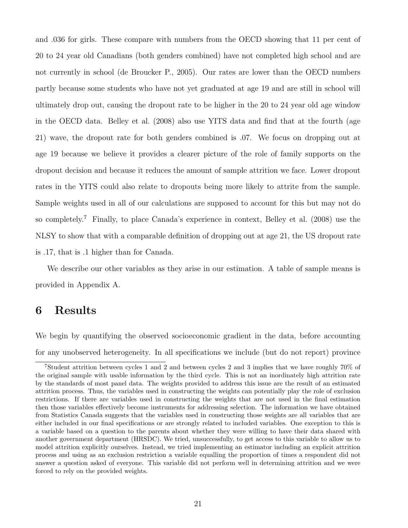and .036 for girls. These compare with numbers from the OECD showing that 11 per cent of 20 to 24 year old Canadians (both genders combined) have not completed high school and are not currently in school (de Broucker P., 2005). Our rates are lower than the OECD numbers partly because some students who have not yet graduated at age 19 and are still in school will ultimately drop out, causing the dropout rate to be higher in the 20 to 24 year old age window in the OECD data. Belley et al. (2008) also use YITS data and find that at the fourth (age 21) wave, the dropout rate for both genders combined is .07. We focus on dropping out at age 19 because we believe it provides a clearer picture of the role of family supports on the dropout decision and because it reduces the amount of sample attrition we face. Lower dropout rates in the YITS could also relate to dropouts being more likely to attrite from the sample. Sample weights used in all of our calculations are supposed to account for this but may not do so completely.<sup>7</sup> Finally, to place Canada's experience in context, Belley et al.  $(2008)$  use the NLSY to show that with a comparable definition of dropping out at age 21, the US dropout rate is .17, that is .1 higher than for Canada.

We describe our other variables as they arise in our estimation. A table of sample means is provided in Appendix A.

### 6 Results

We begin by quantifying the observed socioeconomic gradient in the data, before accounting for any unobserved heterogeneity. In all specifications we include (but do not report) province

<sup>7</sup>Student attrition between cycles 1 and 2 and between cycles 2 and 3 implies that we have roughly 70% of the original sample with usable information by the third cycle. This is not an inordinately high attrition rate by the standards of most panel data. The weights provided to address this issue are the result of an estimated attrition process. Thus, the variables used in constructing the weights can potentially play the role of exclusion restrictions. If there are variables used in constructing the weights that are not used in the final estimation then those variables effectively become instruments for addressing selection. The information we have obtained from Statistics Canada suggests that the variables used in constructing those weights are all variables that are either included in our final specifications or are strongly related to included variables. One exception to this is a variable based on a question to the parents about whether they were willing to have their data shared with another government department (HRSDC). We tried, unsuccessfully, to get access to this variable to allow us to model attrition explicitly ourselves. Instead, we tried implementing an estimator including an explicit attrition process and using as an exclusion restriction a variable equalling the proportion of times a respondent did not answer a question asked of everyone. This variable did not perform well in determining attrition and we were forced to rely on the provided weights.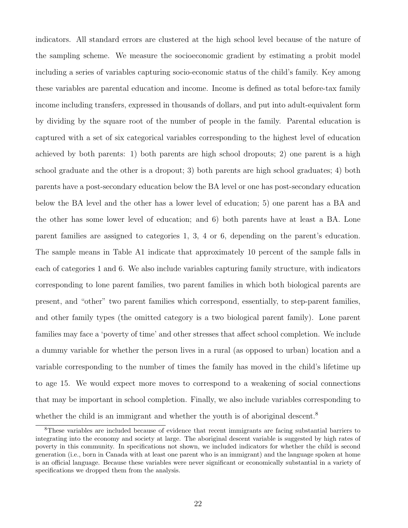indicators. All standard errors are clustered at the high school level because of the nature of the sampling scheme. We measure the socioeconomic gradient by estimating a probit model including a series of variables capturing socio-economic status of the child's family. Key among these variables are parental education and income. Income is defined as total before-tax family income including transfers, expressed in thousands of dollars, and put into adult-equivalent form by dividing by the square root of the number of people in the family. Parental education is captured with a set of six categorical variables corresponding to the highest level of education achieved by both parents: 1) both parents are high school dropouts; 2) one parent is a high school graduate and the other is a dropout; 3) both parents are high school graduates; 4) both parents have a post-secondary education below the BA level or one has post-secondary education below the BA level and the other has a lower level of education; 5) one parent has a BA and the other has some lower level of education; and 6) both parents have at least a BA. Lone parent families are assigned to categories 1, 3, 4 or 6, depending on the parent's education. The sample means in Table A1 indicate that approximately 10 percent of the sample falls in each of categories 1 and 6. We also include variables capturing family structure, with indicators corresponding to lone parent families, two parent families in which both biological parents are present, and "other" two parent families which correspond, essentially, to step-parent families, and other family types (the omitted category is a two biological parent family). Lone parent families may face a 'poverty of time' and other stresses that affect school completion. We include a dummy variable for whether the person lives in a rural (as opposed to urban) location and a variable corresponding to the number of times the family has moved in the child's lifetime up to age 15. We would expect more moves to correspond to a weakening of social connections that may be important in school completion. Finally, we also include variables corresponding to whether the child is an immigrant and whether the youth is of aboriginal descent.<sup>8</sup>

<sup>8</sup>These variables are included because of evidence that recent immigrants are facing substantial barriers to integrating into the economy and society at large. The aboriginal descent variable is suggested by high rates of poverty in this community. In specifications not shown, we included indicators for whether the child is second generation (i.e., born in Canada with at least one parent who is an immigrant) and the language spoken at home is an official language. Because these variables were never significant or economically substantial in a variety of specifications we dropped them from the analysis.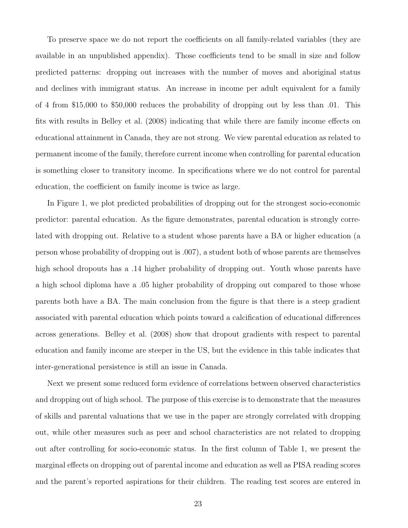To preserve space we do not report the coefficients on all family-related variables (they are available in an unpublished appendix). Those coefficients tend to be small in size and follow predicted patterns: dropping out increases with the number of moves and aboriginal status and declines with immigrant status. An increase in income per adult equivalent for a family of 4 from \$15,000 to \$50,000 reduces the probability of dropping out by less than .01. This fits with results in Belley et al. (2008) indicating that while there are family income effects on educational attainment in Canada, they are not strong. We view parental education as related to permanent income of the family, therefore current income when controlling for parental education is something closer to transitory income. In specifications where we do not control for parental education, the coefficient on family income is twice as large.

In Figure 1, we plot predicted probabilities of dropping out for the strongest socio-economic predictor: parental education. As the figure demonstrates, parental education is strongly correlated with dropping out. Relative to a student whose parents have a BA or higher education (a person whose probability of dropping out is .007), a student both of whose parents are themselves high school dropouts has a .14 higher probability of dropping out. Youth whose parents have a high school diploma have a .05 higher probability of dropping out compared to those whose parents both have a BA. The main conclusion from the figure is that there is a steep gradient associated with parental education which points toward a calcification of educational differences across generations. Belley et al. (2008) show that dropout gradients with respect to parental education and family income are steeper in the US, but the evidence in this table indicates that inter-generational persistence is still an issue in Canada.

Next we present some reduced form evidence of correlations between observed characteristics and dropping out of high school. The purpose of this exercise is to demonstrate that the measures of skills and parental valuations that we use in the paper are strongly correlated with dropping out, while other measures such as peer and school characteristics are not related to dropping out after controlling for socio-economic status. In the first column of Table 1, we present the marginal effects on dropping out of parental income and education as well as PISA reading scores and the parent's reported aspirations for their children. The reading test scores are entered in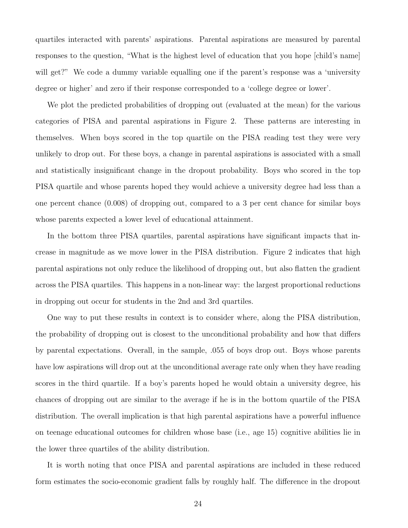quartiles interacted with parents' aspirations. Parental aspirations are measured by parental responses to the question, "What is the highest level of education that you hope [child's name] will get?" We code a dummy variable equalling one if the parent's response was a 'university degree or higher' and zero if their response corresponded to a 'college degree or lower'.

We plot the predicted probabilities of dropping out (evaluated at the mean) for the various categories of PISA and parental aspirations in Figure 2. These patterns are interesting in themselves. When boys scored in the top quartile on the PISA reading test they were very unlikely to drop out. For these boys, a change in parental aspirations is associated with a small and statistically insignificant change in the dropout probability. Boys who scored in the top PISA quartile and whose parents hoped they would achieve a university degree had less than a one percent chance (0.008) of dropping out, compared to a 3 per cent chance for similar boys whose parents expected a lower level of educational attainment.

In the bottom three PISA quartiles, parental aspirations have significant impacts that increase in magnitude as we move lower in the PISA distribution. Figure 2 indicates that high parental aspirations not only reduce the likelihood of dropping out, but also flatten the gradient across the PISA quartiles. This happens in a non-linear way: the largest proportional reductions in dropping out occur for students in the 2nd and 3rd quartiles.

One way to put these results in context is to consider where, along the PISA distribution, the probability of dropping out is closest to the unconditional probability and how that differs by parental expectations. Overall, in the sample, .055 of boys drop out. Boys whose parents have low aspirations will drop out at the unconditional average rate only when they have reading scores in the third quartile. If a boy's parents hoped he would obtain a university degree, his chances of dropping out are similar to the average if he is in the bottom quartile of the PISA distribution. The overall implication is that high parental aspirations have a powerful influence on teenage educational outcomes for children whose base (i.e., age 15) cognitive abilities lie in the lower three quartiles of the ability distribution.

It is worth noting that once PISA and parental aspirations are included in these reduced form estimates the socio-economic gradient falls by roughly half. The difference in the dropout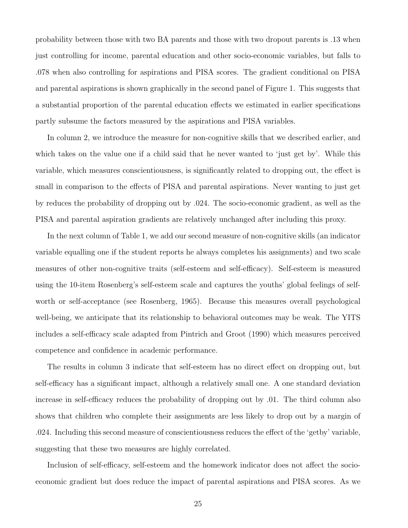probability between those with two BA parents and those with two dropout parents is .13 when just controlling for income, parental education and other socio-economic variables, but falls to .078 when also controlling for aspirations and PISA scores. The gradient conditional on PISA and parental aspirations is shown graphically in the second panel of Figure 1. This suggests that a substantial proportion of the parental education effects we estimated in earlier specifications partly subsume the factors measured by the aspirations and PISA variables.

In column 2, we introduce the measure for non-cognitive skills that we described earlier, and which takes on the value one if a child said that he never wanted to 'just get by'. While this variable, which measures conscientiousness, is significantly related to dropping out, the effect is small in comparison to the effects of PISA and parental aspirations. Never wanting to just get by reduces the probability of dropping out by .024. The socio-economic gradient, as well as the PISA and parental aspiration gradients are relatively unchanged after including this proxy.

In the next column of Table 1, we add our second measure of non-cognitive skills (an indicator variable equalling one if the student reports he always completes his assignments) and two scale measures of other non-cognitive traits (self-esteem and self-efficacy). Self-esteem is measured using the 10-item Rosenberg's self-esteem scale and captures the youths' global feelings of selfworth or self-acceptance (see Rosenberg, 1965). Because this measures overall psychological well-being, we anticipate that its relationship to behavioral outcomes may be weak. The YITS includes a self-efficacy scale adapted from Pintrich and Groot (1990) which measures perceived competence and confidence in academic performance.

The results in column 3 indicate that self-esteem has no direct effect on dropping out, but self-efficacy has a significant impact, although a relatively small one. A one standard deviation increase in self-efficacy reduces the probability of dropping out by .01. The third column also shows that children who complete their assignments are less likely to drop out by a margin of .024. Including this second measure of conscientiousness reduces the effect of the 'getby' variable, suggesting that these two measures are highly correlated.

Inclusion of self-efficacy, self-esteem and the homework indicator does not affect the socioeconomic gradient but does reduce the impact of parental aspirations and PISA scores. As we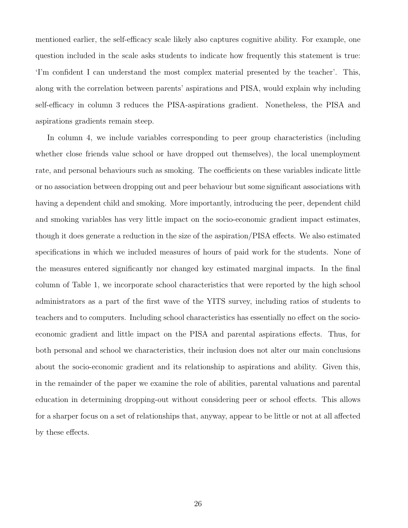mentioned earlier, the self-efficacy scale likely also captures cognitive ability. For example, one question included in the scale asks students to indicate how frequently this statement is true: 'I'm confident I can understand the most complex material presented by the teacher'. This, along with the correlation between parents' aspirations and PISA, would explain why including self-efficacy in column 3 reduces the PISA-aspirations gradient. Nonetheless, the PISA and aspirations gradients remain steep.

In column 4, we include variables corresponding to peer group characteristics (including whether close friends value school or have dropped out themselves), the local unemployment rate, and personal behaviours such as smoking. The coefficients on these variables indicate little or no association between dropping out and peer behaviour but some significant associations with having a dependent child and smoking. More importantly, introducing the peer, dependent child and smoking variables has very little impact on the socio-economic gradient impact estimates, though it does generate a reduction in the size of the aspiration/PISA effects. We also estimated specifications in which we included measures of hours of paid work for the students. None of the measures entered significantly nor changed key estimated marginal impacts. In the final column of Table 1, we incorporate school characteristics that were reported by the high school administrators as a part of the first wave of the YITS survey, including ratios of students to teachers and to computers. Including school characteristics has essentially no effect on the socioeconomic gradient and little impact on the PISA and parental aspirations effects. Thus, for both personal and school we characteristics, their inclusion does not alter our main conclusions about the socio-economic gradient and its relationship to aspirations and ability. Given this, in the remainder of the paper we examine the role of abilities, parental valuations and parental education in determining dropping-out without considering peer or school effects. This allows for a sharper focus on a set of relationships that, anyway, appear to be little or not at all affected by these effects.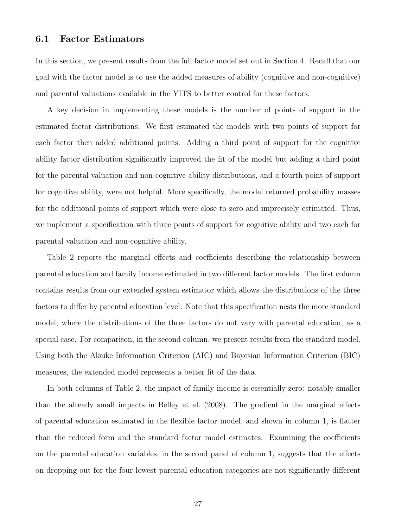#### 6.1 Factor Estimators

In this section, we present results from the full factor model set out in Section 4. Recall that our goal with the factor model is to use the added measures of ability (cognitive and non-cognitive) and parental valuations available in the YITS to better control for these factors.

A key decision in implementing these models is the number of points of support in the estimated factor distributions. We first estimated the models with two points of support for each factor then added additional points. Adding a third point of support for the cognitive ability factor distribution significantly improved the fit of the model but adding a third point for the parental valuation and non-cognitive ability distributions, and a fourth point of support for cognitive ability, were not helpful. More specifically, the model returned probability masses for the additional points of support which were close to zero and imprecisely estimated. Thus, we implement a specification with three points of support for cognitive ability and two each for parental valuation and non-cognitive ability.

Table 2 reports the marginal effects and coefficients describing the relationship between parental education and family income estimated in two different factor models. The first column contains results from our extended system estimator which allows the distributions of the three factors to differ by parental education level. Note that this specification nests the more standard model, where the distributions of the three factors do not vary with parental education, as a special case. For comparison, in the second column, we present results from the standard model. Using both the Akaike Information Criterion (AIC) and Bayesian Information Criterion (BIC) measures, the extended model represents a better fit of the data.

In both columns of Table 2, the impact of family income is essentially zero: notably smaller than the already small impacts in Belley et al. (2008). The gradient in the marginal effects of parental education estimated in the flexible factor model, and shown in column 1, is flatter than the reduced form and the standard factor model estimates. Examining the coefficients on the parental education variables, in the second panel of column 1, suggests that the effects on dropping out for the four lowest parental education categories are not significantly different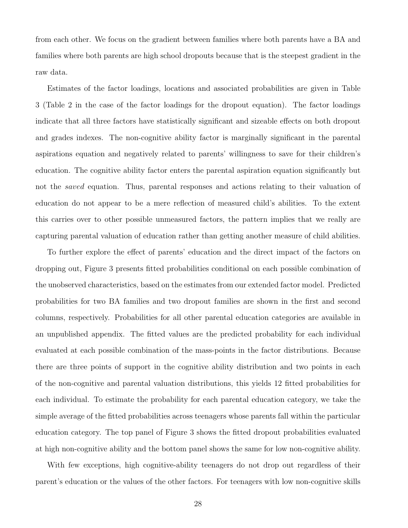from each other. We focus on the gradient between families where both parents have a BA and families where both parents are high school dropouts because that is the steepest gradient in the raw data.

Estimates of the factor loadings, locations and associated probabilities are given in Table 3 (Table 2 in the case of the factor loadings for the dropout equation). The factor loadings indicate that all three factors have statistically significant and sizeable effects on both dropout and grades indexes. The non-cognitive ability factor is marginally significant in the parental aspirations equation and negatively related to parents' willingness to save for their children's education. The cognitive ability factor enters the parental aspiration equation significantly but not the saved equation. Thus, parental responses and actions relating to their valuation of education do not appear to be a mere reflection of measured child's abilities. To the extent this carries over to other possible unmeasured factors, the pattern implies that we really are capturing parental valuation of education rather than getting another measure of child abilities.

To further explore the effect of parents' education and the direct impact of the factors on dropping out, Figure 3 presents fitted probabilities conditional on each possible combination of the unobserved characteristics, based on the estimates from our extended factor model. Predicted probabilities for two BA families and two dropout families are shown in the first and second columns, respectively. Probabilities for all other parental education categories are available in an unpublished appendix. The fitted values are the predicted probability for each individual evaluated at each possible combination of the mass-points in the factor distributions. Because there are three points of support in the cognitive ability distribution and two points in each of the non-cognitive and parental valuation distributions, this yields 12 fitted probabilities for each individual. To estimate the probability for each parental education category, we take the simple average of the fitted probabilities across teenagers whose parents fall within the particular education category. The top panel of Figure 3 shows the fitted dropout probabilities evaluated at high non-cognitive ability and the bottom panel shows the same for low non-cognitive ability.

With few exceptions, high cognitive-ability teenagers do not drop out regardless of their parent's education or the values of the other factors. For teenagers with low non-cognitive skills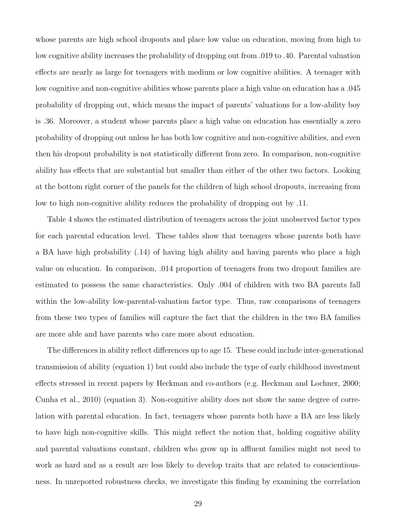whose parents are high school dropouts and place low value on education, moving from high to low cognitive ability increases the probability of dropping out from .019 to .40. Parental valuation effects are nearly as large for teenagers with medium or low cognitive abilities. A teenager with low cognitive and non-cognitive abilities whose parents place a high value on education has a .045 probability of dropping out, which means the impact of parents' valuations for a low-ability boy is .36. Moreover, a student whose parents place a high value on education has essentially a zero probability of dropping out unless he has both low cognitive and non-cognitive abilities, and even then his dropout probability is not statistically different from zero. In comparison, non-cognitive ability has effects that are substantial but smaller than either of the other two factors. Looking at the bottom right corner of the panels for the children of high school dropouts, increasing from low to high non-cognitive ability reduces the probability of dropping out by .11.

Table 4 shows the estimated distribution of teenagers across the joint unobserved factor types for each parental education level. These tables show that teenagers whose parents both have a BA have high probability (.14) of having high ability and having parents who place a high value on education. In comparison, .014 proportion of teenagers from two dropout families are estimated to possess the same characteristics. Only .004 of children with two BA parents fall within the low-ability low-parental-valuation factor type. Thus, raw comparisons of teenagers from these two types of families will capture the fact that the children in the two BA families are more able and have parents who care more about education.

The differences in ability reflect differences up to age 15. These could include inter-generational transmission of ability (equation 1) but could also include the type of early childhood investment effects stressed in recent papers by Heckman and co-authors (e.g. Heckman and Lochner, 2000; Cunha et al., 2010) (equation 3). Non-cognitive ability does not show the same degree of correlation with parental education. In fact, teenagers whose parents both have a BA are less likely to have high non-cognitive skills. This might reflect the notion that, holding cognitive ability and parental valuations constant, children who grow up in affluent families might not need to work as hard and as a result are less likely to develop traits that are related to conscientiousness. In unreported robustness checks, we investigate this finding by examining the correlation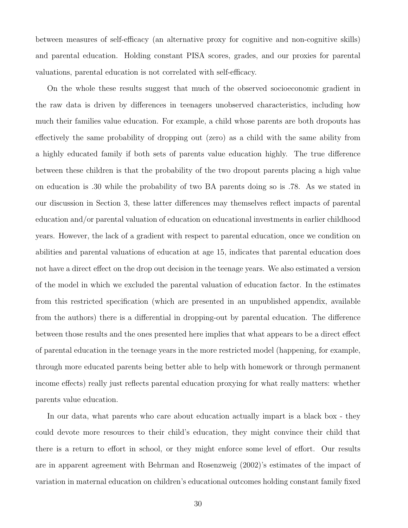between measures of self-efficacy (an alternative proxy for cognitive and non-cognitive skills) and parental education. Holding constant PISA scores, grades, and our proxies for parental valuations, parental education is not correlated with self-efficacy.

On the whole these results suggest that much of the observed socioeconomic gradient in the raw data is driven by differences in teenagers unobserved characteristics, including how much their families value education. For example, a child whose parents are both dropouts has effectively the same probability of dropping out (zero) as a child with the same ability from a highly educated family if both sets of parents value education highly. The true difference between these children is that the probability of the two dropout parents placing a high value on education is .30 while the probability of two BA parents doing so is .78. As we stated in our discussion in Section 3, these latter differences may themselves reflect impacts of parental education and/or parental valuation of education on educational investments in earlier childhood years. However, the lack of a gradient with respect to parental education, once we condition on abilities and parental valuations of education at age 15, indicates that parental education does not have a direct effect on the drop out decision in the teenage years. We also estimated a version of the model in which we excluded the parental valuation of education factor. In the estimates from this restricted specification (which are presented in an unpublished appendix, available from the authors) there is a differential in dropping-out by parental education. The difference between those results and the ones presented here implies that what appears to be a direct effect of parental education in the teenage years in the more restricted model (happening, for example, through more educated parents being better able to help with homework or through permanent income effects) really just reflects parental education proxying for what really matters: whether parents value education.

In our data, what parents who care about education actually impart is a black box - they could devote more resources to their child's education, they might convince their child that there is a return to effort in school, or they might enforce some level of effort. Our results are in apparent agreement with Behrman and Rosenzweig (2002)'s estimates of the impact of variation in maternal education on children's educational outcomes holding constant family fixed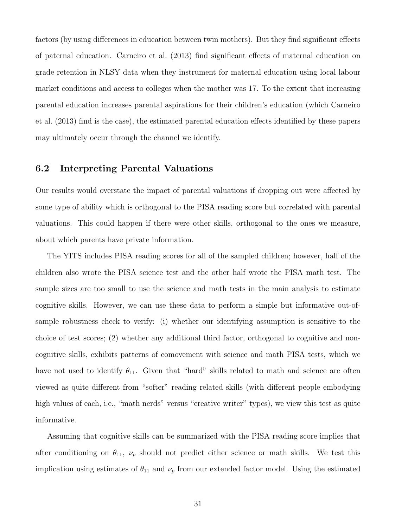factors (by using differences in education between twin mothers). But they find significant effects of paternal education. Carneiro et al. (2013) find significant effects of maternal education on grade retention in NLSY data when they instrument for maternal education using local labour market conditions and access to colleges when the mother was 17. To the extent that increasing parental education increases parental aspirations for their children's education (which Carneiro et al. (2013) find is the case), the estimated parental education effects identified by these papers may ultimately occur through the channel we identify.

#### 6.2 Interpreting Parental Valuations

Our results would overstate the impact of parental valuations if dropping out were affected by some type of ability which is orthogonal to the PISA reading score but correlated with parental valuations. This could happen if there were other skills, orthogonal to the ones we measure, about which parents have private information.

The YITS includes PISA reading scores for all of the sampled children; however, half of the children also wrote the PISA science test and the other half wrote the PISA math test. The sample sizes are too small to use the science and math tests in the main analysis to estimate cognitive skills. However, we can use these data to perform a simple but informative out-ofsample robustness check to verify: (i) whether our identifying assumption is sensitive to the choice of test scores; (2) whether any additional third factor, orthogonal to cognitive and noncognitive skills, exhibits patterns of comovement with science and math PISA tests, which we have not used to identify  $\theta_{11}$ . Given that "hard" skills related to math and science are often viewed as quite different from "softer" reading related skills (with different people embodying high values of each, i.e., "math nerds" versus "creative writer" types), we view this test as quite informative.

Assuming that cognitive skills can be summarized with the PISA reading score implies that after conditioning on  $\theta_{11}$ ,  $\nu_p$  should not predict either science or math skills. We test this implication using estimates of  $\theta_{11}$  and  $\nu_p$  from our extended factor model. Using the estimated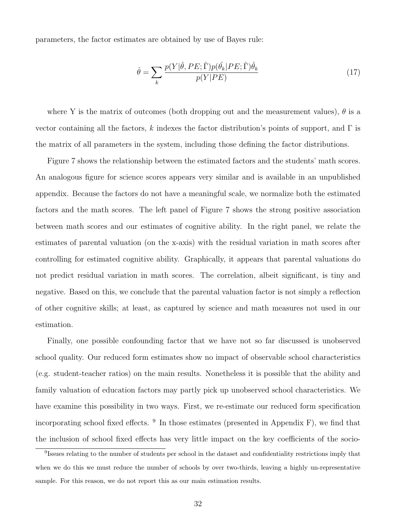parameters, the factor estimates are obtained by use of Bayes rule:

$$
\hat{\theta} = \sum_{k} \frac{p(Y|\hat{\theta}, PE; \hat{\Gamma}) p(\hat{\theta_k}|PE; \hat{\Gamma}) \hat{\theta_k}}{p(Y|PE)}
$$
(17)

where Y is the matrix of outcomes (both dropping out and the measurement values),  $\theta$  is a vector containing all the factors, k indexes the factor distribution's points of support, and  $\Gamma$  is the matrix of all parameters in the system, including those defining the factor distributions.

Figure 7 shows the relationship between the estimated factors and the students' math scores. An analogous figure for science scores appears very similar and is available in an unpublished appendix. Because the factors do not have a meaningful scale, we normalize both the estimated factors and the math scores. The left panel of Figure 7 shows the strong positive association between math scores and our estimates of cognitive ability. In the right panel, we relate the estimates of parental valuation (on the x-axis) with the residual variation in math scores after controlling for estimated cognitive ability. Graphically, it appears that parental valuations do not predict residual variation in math scores. The correlation, albeit significant, is tiny and negative. Based on this, we conclude that the parental valuation factor is not simply a reflection of other cognitive skills; at least, as captured by science and math measures not used in our estimation.

Finally, one possible confounding factor that we have not so far discussed is unobserved school quality. Our reduced form estimates show no impact of observable school characteristics (e.g. student-teacher ratios) on the main results. Nonetheless it is possible that the ability and family valuation of education factors may partly pick up unobserved school characteristics. We have examine this possibility in two ways. First, we re-estimate our reduced form specification incorporating school fixed effects. <sup>9</sup> In those estimates (presented in Appendix F), we find that the inclusion of school fixed effects has very little impact on the key coefficients of the socio-

<sup>&</sup>lt;sup>9</sup>Issues relating to the number of students per school in the dataset and confidentiality restrictions imply that when we do this we must reduce the number of schools by over two-thirds, leaving a highly un-representative sample. For this reason, we do not report this as our main estimation results.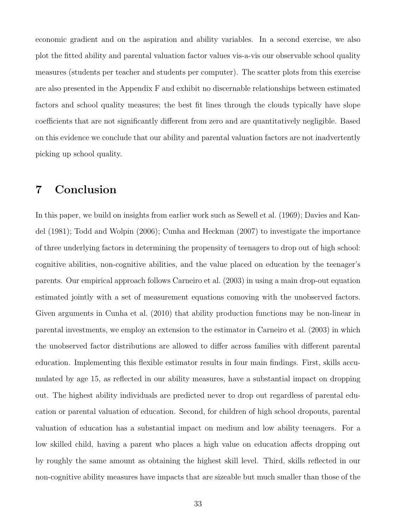economic gradient and on the aspiration and ability variables. In a second exercise, we also plot the fitted ability and parental valuation factor values vis-a-vis our observable school quality measures (students per teacher and students per computer). The scatter plots from this exercise are also presented in the Appendix F and exhibit no discernable relationships between estimated factors and school quality measures; the best fit lines through the clouds typically have slope coefficients that are not significantly different from zero and are quantitatively negligible. Based on this evidence we conclude that our ability and parental valuation factors are not inadvertently picking up school quality.

### 7 Conclusion

In this paper, we build on insights from earlier work such as Sewell et al. (1969); Davies and Kandel (1981); Todd and Wolpin (2006); Cunha and Heckman (2007) to investigate the importance of three underlying factors in determining the propensity of teenagers to drop out of high school: cognitive abilities, non-cognitive abilities, and the value placed on education by the teenager's parents. Our empirical approach follows Carneiro et al. (2003) in using a main drop-out equation estimated jointly with a set of measurement equations comoving with the unobserved factors. Given arguments in Cunha et al. (2010) that ability production functions may be non-linear in parental investments, we employ an extension to the estimator in Carneiro et al. (2003) in which the unobserved factor distributions are allowed to differ across families with different parental education. Implementing this flexible estimator results in four main findings. First, skills accumulated by age 15, as reflected in our ability measures, have a substantial impact on dropping out. The highest ability individuals are predicted never to drop out regardless of parental education or parental valuation of education. Second, for children of high school dropouts, parental valuation of education has a substantial impact on medium and low ability teenagers. For a low skilled child, having a parent who places a high value on education affects dropping out by roughly the same amount as obtaining the highest skill level. Third, skills reflected in our non-cognitive ability measures have impacts that are sizeable but much smaller than those of the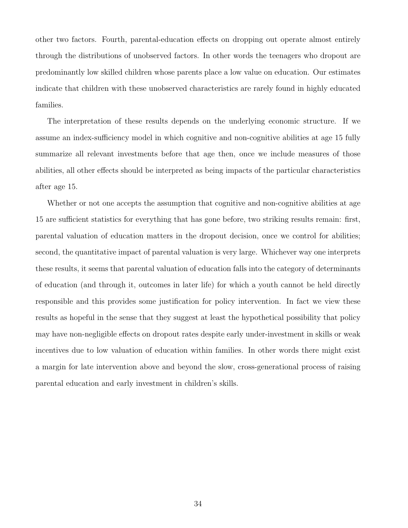other two factors. Fourth, parental-education effects on dropping out operate almost entirely through the distributions of unobserved factors. In other words the teenagers who dropout are predominantly low skilled children whose parents place a low value on education. Our estimates indicate that children with these unobserved characteristics are rarely found in highly educated families.

The interpretation of these results depends on the underlying economic structure. If we assume an index-sufficiency model in which cognitive and non-cognitive abilities at age 15 fully summarize all relevant investments before that age then, once we include measures of those abilities, all other effects should be interpreted as being impacts of the particular characteristics after age 15.

Whether or not one accepts the assumption that cognitive and non-cognitive abilities at age 15 are sufficient statistics for everything that has gone before, two striking results remain: first, parental valuation of education matters in the dropout decision, once we control for abilities; second, the quantitative impact of parental valuation is very large. Whichever way one interprets these results, it seems that parental valuation of education falls into the category of determinants of education (and through it, outcomes in later life) for which a youth cannot be held directly responsible and this provides some justification for policy intervention. In fact we view these results as hopeful in the sense that they suggest at least the hypothetical possibility that policy may have non-negligible effects on dropout rates despite early under-investment in skills or weak incentives due to low valuation of education within families. In other words there might exist a margin for late intervention above and beyond the slow, cross-generational process of raising parental education and early investment in children's skills.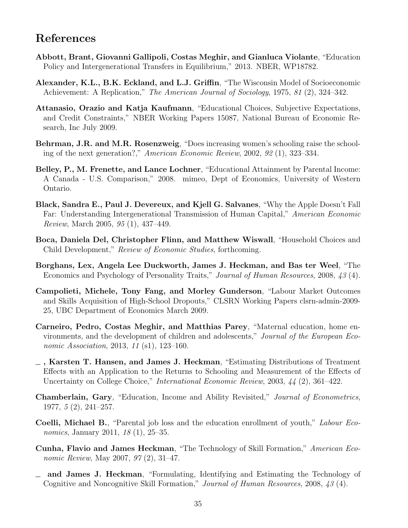### References

- Abbott, Brant, Giovanni Gallipoli, Costas Meghir, and Gianluca Violante, "Education Policy and Intergenerational Transfers in Equilibrium," 2013. NBER, WP18782.
- Alexander, K.L., B.K. Eckland, and L.J. Griffin, "The Wisconsin Model of Socioeconomic Achievement: A Replication," The American Journal of Sociology, 1975, 81 (2), 324–342.
- Attanasio, Orazio and Katja Kaufmann, "Educational Choices, Subjective Expectations, and Credit Constraints," NBER Working Papers 15087, National Bureau of Economic Research, Inc July 2009.
- Behrman, J.R. and M.R. Rosenzweig, "Does increasing women's schooling raise the schooling of the next generation?," American Economic Review, 2002, 92 (1), 323–334.
- Belley, P., M. Frenette, and Lance Lochner, "Educational Attainment by Parental Income: A Canada - U.S. Comparison," 2008. mimeo, Dept of Economics, University of Western Ontario.
- Black, Sandra E., Paul J. Devereux, and Kjell G. Salvanes, "Why the Apple Doesn't Fall Far: Understanding Intergenerational Transmission of Human Capital," American Economic Review, March 2005, 95 (1), 437–449.
- Boca, Daniela Del, Christopher Flinn, and Matthew Wiswall, "Household Choices and Child Development," Review of Economic Studies, forthcoming.
- Borghans, Lex, Angela Lee Duckworth, James J. Heckman, and Bas ter Weel, "The Economics and Psychology of Personality Traits," Journal of Human Resources, 2008, 43 (4).
- Campolieti, Michele, Tony Fang, and Morley Gunderson, "Labour Market Outcomes and Skills Acquisition of High-School Dropouts," CLSRN Working Papers clsrn-admin-2009- 25, UBC Department of Economics March 2009.
- Carneiro, Pedro, Costas Meghir, and Matthias Parey, "Maternal education, home environments, and the development of children and adolescents," Journal of the European Economic Association, 2013, 11 (s1), 123–160.
- $\overline{\phantom{a}}$ , Karsten T. Hansen, and James J. Heckman, "Estimating Distributions of Treatment Effects with an Application to the Returns to Schooling and Measurement of the Effects of Uncertainty on College Choice," International Economic Review, 2003, 44 (2), 361–422.
- Chamberlain, Gary, "Education, Income and Ability Revisited," Journal of Econometrics, 1977, 5 (2), 241–257.
- Coelli, Michael B., "Parental job loss and the education enrollment of youth," Labour Economics, January 2011, 18 (1), 25–35.
- Cunha, Flavio and James Heckman, "The Technology of Skill Formation," American Economic Review, May 2007, 97 (2), 31–47.
- and James J. Heckman, "Formulating, Identifying and Estimating the Technology of Cognitive and Noncognitive Skill Formation," Journal of Human Resources, 2008, 43 (4).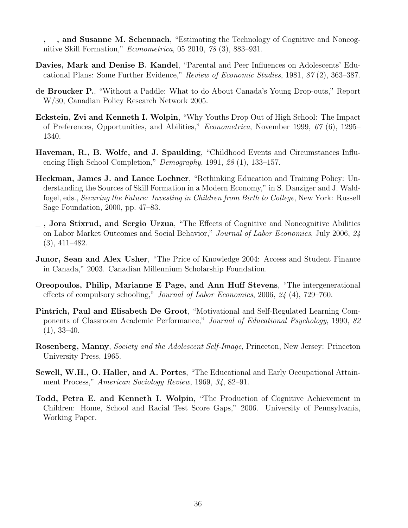- $, \ldots$ , and Susanne M. Schennach, "Estimating the Technology of Cognitive and Noncognitive Skill Formation," Econometrica, 05 2010, 78 (3), 883–931.
- Davies, Mark and Denise B. Kandel, "Parental and Peer Influences on Adolescents' Educational Plans: Some Further Evidence," Review of Economic Studies, 1981, 87 (2), 363–387.
- de Broucker P., "Without a Paddle: What to do About Canada's Young Drop-outs," Report W/30, Canadian Policy Research Network 2005.
- Eckstein, Zvi and Kenneth I. Wolpin, "Why Youths Drop Out of High School: The Impact of Preferences, Opportunities, and Abilities," Econometrica, November 1999, 67 (6), 1295– 1340.
- Haveman, R., B. Wolfe, and J. Spaulding, "Childhood Events and Circumstances Influencing High School Completion," Demography, 1991, 28 (1), 133–157.
- Heckman, James J. and Lance Lochner, "Rethinking Education and Training Policy: Understanding the Sources of Skill Formation in a Modern Economy," in S. Danziger and J. Waldfogel, eds., Securing the Future: Investing in Children from Birth to College, New York: Russell Sage Foundation, 2000, pp. 47–83.
- $\overline{\phantom{a}}$ , Jora Stixrud, and Sergio Urzua, "The Effects of Cognitive and Noncognitive Abilities on Labor Market Outcomes and Social Behavior," Journal of Labor Economics, July 2006, 24 (3), 411–482.
- Junor, Sean and Alex Usher, "The Price of Knowledge 2004: Access and Student Finance in Canada," 2003. Canadian Millennium Scholarship Foundation.
- Oreopoulos, Philip, Marianne E Page, and Ann Huff Stevens, "The intergenerational effects of compulsory schooling," Journal of Labor Economics, 2006, 24 (4), 729–760.
- Pintrich, Paul and Elisabeth De Groot, "Motivational and Self-Regulated Learning Components of Classroom Academic Performance," Journal of Educational Psychology, 1990, 82  $(1), 33-40.$
- Rosenberg, Manny, Society and the Adolescent Self-Image, Princeton, New Jersey: Princeton University Press, 1965.
- Sewell, W.H., O. Haller, and A. Portes, "The Educational and Early Occupational Attainment Process," American Sociology Review, 1969, 34, 82–91.
- Todd, Petra E. and Kenneth I. Wolpin, "The Production of Cognitive Achievement in Children: Home, School and Racial Test Score Gaps," 2006. University of Pennsylvania, Working Paper.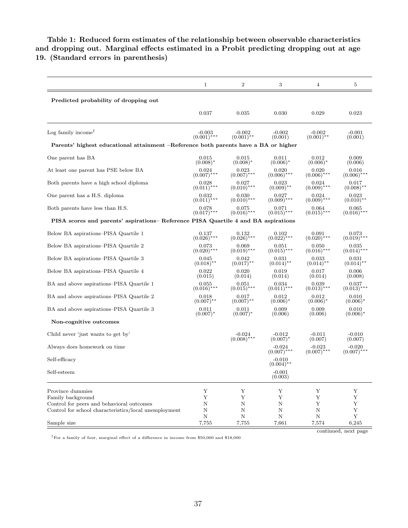#### Table 1: Reduced form estimates of the relationship between observable characteristics and dropping out. Marginal effects estimated in a Probit predicting dropping out at age 19. (Standard errors in parenthesis)

|                                                                                     | $\mathbf{1}$  | $\boldsymbol{2}$          | 3                         | $\overline{4}$            | 5                         |
|-------------------------------------------------------------------------------------|---------------|---------------------------|---------------------------|---------------------------|---------------------------|
| Predicted probability of dropping out                                               |               |                           |                           |                           |                           |
|                                                                                     | 0.037         | 0.035                     | 0.030                     | 0.029                     | 0.023                     |
| Log family income <sup>†</sup>                                                      | $-0.003$      | $-0.002$                  | $-0.002$                  | $-0.002$                  | $-0.001$                  |
|                                                                                     | $(0.001)$ *** | $(0.001)$ **              | (0.001)                   | $(0.001)$ **              | (0.001)                   |
| Parents' highest educational attainment –Reference both parents have a BA or higher |               |                           |                           |                           |                           |
| One parent has BA                                                                   | 0.015         | 0.015                     | 0.011                     | 0.012                     | 0.009                     |
|                                                                                     | $(0.008)^*$   | $(0.008)^*$               | $(0.006)^*$               | $(0.006)^*$               | (0.006)                   |
| At least one parent has PSE below BA                                                | 0.024         | 0.023                     | 0.020                     | 0.020                     | 0.016                     |
|                                                                                     | $(0.007)$ *** | $(0.007)$ ***             | $(0.006)$ ***             | $(0.006)$ ***             | $(0.006)$ ***             |
| Both parents have a high school diploma                                             | 0.028         | 0.027                     | 0.023                     | 0.024                     | 0.017                     |
|                                                                                     | $(0.011)$ *** | $(0.010)$ ***             | $(0.009)$ **              | $(0.009)$ ***             | $(0.008)$ **              |
| One parent has a H.S. diploma                                                       | 0.032         | 0.030                     | 0.027                     | 0.024                     | 0.023                     |
|                                                                                     | $(0.011)$ *** | $(0.010)$ ***             | $(0.009)$ ***             | $(0.009)$ ***             | $(0.010)$ **              |
| Both parents have less than H.S.                                                    | 0.078         | 0.075                     | 0.071                     | 0.064                     | 0.065                     |
|                                                                                     | $(0.017)$ *** | $(0.016)$ ***             | $(0.015)$ ***             | $(0.015)$ ***             | $(0.016)$ ***             |
| PISA scores and parents' aspirations– Reference PISA Quartile 4 and BA aspirations  |               |                           |                           |                           |                           |
| Below BA aspirations–PISA Quartile 1                                                | 0.137         | 0.132                     | 0.102                     | 0.091                     | 0.073                     |
|                                                                                     | $(0.026)$ *** | $(0.026)$ ***             | $(0.022)$ ***             | $(0.020)$ ***             | $(0.019)$ ***             |
| Below BA aspirations–PISA Quartile 2                                                | 0.073         | 0.069                     | 0.051                     | 0.050                     | 0.035                     |
|                                                                                     | $(0.020)$ *** | $(0.019)$ ***             | $(0.015)$ ***             | $(0.016)$ ***             | $(0.014)$ ***             |
| Below BA aspirations–PISA Quartile 3                                                | 0.045         | 0.042                     | 0.031                     | 0.033                     | 0.031                     |
|                                                                                     | $(0.018)$ **  | $(0.017)$ **              | $(0.014)$ **              | $(0.014)**$               | $(0.014)$ **              |
| Below BA aspirations–PISA Quartile 4                                                | 0.022         | 0.020                     | 0.019                     | 0.017                     | 0.006                     |
|                                                                                     | (0.015)       | (0.014)                   | (0.014)                   | (0.014)                   | (0.008)                   |
| BA and above aspirations–PISA Quartile 1                                            | 0.055         | 0.051                     | 0.034                     | 0.039                     | 0.037                     |
|                                                                                     | $(0.016)$ *** | $(0.015)$ ***             | $(0.011)$ ***             | $(0.013)$ ***             | $(0.013)$ ***             |
| BA and above aspirations–PISA Quartile 2                                            | 0.018         | 0.017                     | 0.012                     | 0.012                     | 0.010                     |
|                                                                                     | $(0.007)$ **  | $(0.007)$ **              | $(0.006)^*$               | $(0.006)^*$               | $(0.006)^*$               |
| BA and above aspirations–PISA Quartile 3                                            | 0.011         | 0.011                     | 0.009                     | 0.009                     | 0.010                     |
|                                                                                     | $(0.007)^*$   | $(0.007)^*$               | (0.006)                   | (0.006)                   | $(0.006)^*$               |
| Non-cognitive outcomes                                                              |               |                           |                           |                           |                           |
| Child never 'just wants to get by'                                                  |               | $-0.024$<br>$(0.008)$ *** | $-0.012$<br>$(0.007)^*$   | $-0.011$<br>(0.007)       | $-0.010$<br>(0.007)       |
| Always does homework on time                                                        |               |                           | $-0.024$<br>$(0.007)$ *** | $-0.023$<br>$(0.007)$ *** | $-0.020$<br>$(0.007)$ *** |
| Self-efficacy                                                                       |               |                           | $-0.010$<br>$(0.004)$ **  |                           |                           |
| Self-esteem                                                                         |               |                           | $-0.001$<br>(0.003)       |                           |                           |
| Province dummies                                                                    | Y             | Y                         | Υ                         | Υ                         | Y                         |
| Family background                                                                   | Y             | Y                         | Y                         | Y                         | Y                         |
| Control for peers and behavioral outcomes                                           | Ν             | Ν                         | Ν                         | Y                         | Υ                         |
| Control for school characteristics/local unemployment                               | $\mathbf N$   | N                         | Ν                         | Ν                         | Y                         |
| Sample size                                                                         | $\mathbf N$   | $\mathbf N$               | Ν                         | $\mathbf N$               | Y                         |
|                                                                                     | 7,755         | 7,755                     | 7,661                     | 7,574                     | 6,245                     |

 $^\dagger\rm{For}$  a family of four, marginal effect of a difference in income from \$50,000 and \$18,000

continued, next page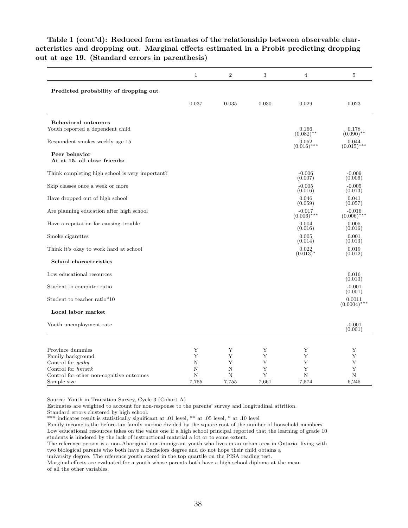|                                                                | $\mathbf{1}$ | $\sqrt{2}$  | 3     | $\overline{4}$            | $\overline{5}$            |
|----------------------------------------------------------------|--------------|-------------|-------|---------------------------|---------------------------|
| Predicted probability of dropping out                          |              |             |       |                           |                           |
|                                                                | 0.037        | 0.035       | 0.030 | 0.029                     | 0.023                     |
| <b>Behavioral outcomes</b><br>Youth reported a dependent child |              |             |       | 0.166                     | 0.178                     |
| Respondent smokes weekly age 15                                |              |             |       | $(0.082)$ **<br>0.052     | $(0.090)$ **<br>0.044     |
| Peer behavior<br>At at 15, all close friends:                  |              |             |       | $(0.016)$ ***             | $(0.015)$ ***             |
| Think completing high school is very important?                |              |             |       | $-0.006$<br>(0.007)       | $-0.009$<br>(0.006)       |
| Skip classes once a week or more                               |              |             |       | $-0.005$<br>(0.016)       | $-0.005$<br>(0.013)       |
| Have dropped out of high school                                |              |             |       | 0.046<br>(0.059)          | 0.041<br>(0.057)          |
| Are planning education after high school                       |              |             |       | $-0.017$<br>$(0.006)$ *** | $-0.016$<br>$(0.006)$ *** |
| Have a reputation for causing trouble                          |              |             |       | 0.004                     | 0.005                     |
| Smoke cigarettes                                               |              |             |       | (0.016)<br>0.005          | (0.016)<br>0.001          |
| Think it's okay to work hard at school                         |              |             |       | (0.014)<br>0.022          | (0.013)<br>0.019          |
| School characteristics                                         |              |             |       | $(0.013)^*$               | (0.012)                   |
| Low educational resources                                      |              |             |       |                           | 0.016<br>(0.013)          |
| Student to computer ratio                                      |              |             |       |                           | $-0.001$<br>(0.001)       |
| Student to teacher ratio*10                                    |              |             |       |                           | 0.0011<br>$(0.0004)$ ***  |
| Local labor market                                             |              |             |       |                           |                           |
| Youth unemployment rate                                        |              |             |       |                           | $-0.001$<br>(0.001)       |
|                                                                |              |             |       |                           |                           |
| Province dummies                                               | Υ            | Υ           | Υ     | Υ                         | Υ                         |
| Family background                                              | Y            | Υ           | Υ     | Y                         | Y                         |
| Control for getby                                              | Ν            | Υ           | Υ     | Υ                         | Υ                         |
| Control for hmwrk                                              | N            | $\mathbf N$ | Y     | Y                         | Y                         |
| Control for other non-cognitive outcomes                       | N            | N           | Y     | N                         | N                         |
| Sample size                                                    | 7,755        | 7,755       | 7,661 | 7,574                     | 6,245                     |

Table 1 (cont'd): Reduced form estimates of the relationship between observable characteristics and dropping out. Marginal effects estimated in a Probit predicting dropping out at age 19. (Standard errors in parenthesis)

Source: Youth in Transition Survey, Cycle 3 (Cohort A)

Estimates are weighted to account for non-response to the parents' survey and longitudinal attrition.

Standard errors clustered by high school.

\*\*\* indicates result is statistically significant at .01 level, \*\* at .05 level, \* at .10 level

Family income is the before-tax family income divided by the square root of the number of household members.

Low educational resources takes on the value one if a high school principal reported that the learning of grade 10 students is hindered by the lack of instructional material a lot or to some extent.

The reference person is a non-Aboriginal non-immigrant youth who lives in an urban area in Ontario, living with two biological parents who both have a Bachelors degree and do not hope their child obtains a

university degree. The reference youth scored in the top quartile on the PISA reading test.

Marginal effects are evaluated for a youth whose parents both have a high school diploma at the mean of all the other variables.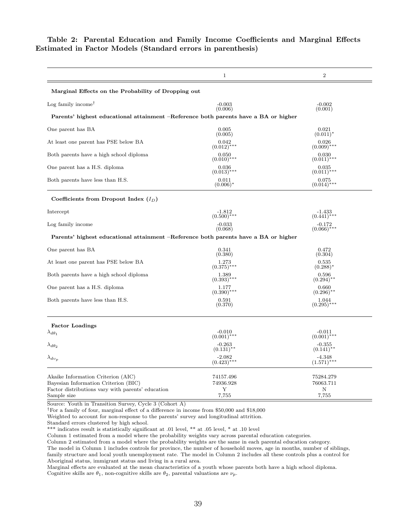|                                                                                                          | $\mathbf 1$                         | $\overline{2}$                      |
|----------------------------------------------------------------------------------------------------------|-------------------------------------|-------------------------------------|
| Marginal Effects on the Probability of Dropping out                                                      |                                     |                                     |
| Log family income <sup>†</sup>                                                                           | $-0.003$<br>(0.006)                 | $-0.002$<br>(0.001)                 |
| Parents' highest educational attainment –Reference both parents have a BA or higher                      |                                     |                                     |
| One parent has BA                                                                                        | 0.005<br>(0.005)                    | 0.021<br>$(0.011)^*$                |
| At least one parent has PSE below BA                                                                     | 0.042<br>$(0.012)$ ***              | 0.026<br>$(0.009)$ ***              |
| Both parents have a high school diploma                                                                  | 0.050<br>$(0.010)$ ***              | 0.030<br>$(0.011)$ ***              |
| One parent has a H.S. diploma                                                                            | 0.036<br>$(0.013)$ ***              | 0.035<br>$(0.011)$ ***              |
| Both parents have less than H.S.                                                                         | 0.011<br>$(0.006)^*$                | 0.075<br>$(0.014)$ ***              |
| Coefficients from Dropout Index $(I_D)$                                                                  |                                     |                                     |
| Intercept                                                                                                | $-1.812$<br>$(0.500)$ ***           | -1.433<br>$(0.441)$ ***             |
| Log family income                                                                                        | $-0.033$<br>(0.068)                 | $-0.172$<br>$(0.066)$ ***           |
| Parents' highest educational attainment –Reference both parents have a BA or higher                      |                                     |                                     |
| One parent has BA                                                                                        | 0.341<br>(0.380)                    | 0.472<br>(0.304)                    |
| At least one parent has PSE below BA                                                                     | 1.273<br>$(0.375)^*$                | 0.535<br>$(0.288)^*$                |
| Both parents have a high school diploma                                                                  | 1.389<br>$(0.393)$ ***              | 0.596<br>$(0.294)$ **               |
| One parent has a H.S. diploma                                                                            | 1.177<br>$(0.390)$ ***              | 0.660<br>$(0.296)$ <sup>**</sup>    |
| Both parents have less than H.S.                                                                         | 0.591<br>(0.370)                    | 1.044<br>$(0.295)$ ***              |
| <b>Factor Loadings</b>                                                                                   |                                     |                                     |
| $\lambda_{d\theta_1}$                                                                                    | $-0.010$<br>$(0.001)$ ***           | $-0.011$<br>$(0.001)$ ***           |
| $\lambda_{d\theta_2}$                                                                                    | $-0.263$<br>$(0.131)$ <sup>**</sup> | $-0.355$<br>$(0.141)$ <sup>**</sup> |
| $\lambda_{dv_p}$                                                                                         | $-2.082$<br>$(0.423)$ ***           | $-4.348$<br>$(1.571)$ ***           |
| Akaike Information Criterion (AIC)                                                                       | 74157.496                           | 75284.279                           |
| Bayesian Information Criterion (BIC)<br>Factor distributions vary with parents' education<br>Sample size | 74936.928<br>Υ<br>7,755             | 76063.711<br>N<br>7,755             |

#### Table 2: Parental Education and Family Income Coefficients and Marginal Effects Estimated in Factor Models (Standard errors in parenthesis)

Source: Youth in Transition Survey, Cycle 3 (Cohort A)

†For a family of four, marginal effect of a difference in income from \$50,000 and \$18,000

Weighted to account for non-response to the parents' survey and longitudinal attrition.

Standard errors clustered by high school.

\*\*\* indicates result is statistically significant at .01 level, \*\* at .05 level, \* at .10 level

Column 1 estimated from a model where the probability weights vary across parental education categories.

Column 2 estimated from a model where the probability weights are the same in each parental education category.

The model in Column 1 includes controls for province, the number of household moves, age in months, number of siblings, family structure and local youth unemployment rate. The model in Column 2 includes all these controls plus a control for Aboriginal status, immigrant status and living in a rural area.

Marginal effects are evaluated at the mean characteristics of a youth whose parents both have a high school diploma. Cognitive skills are  $\theta_1$ , non-cognitive skills are  $\theta_2$ , parental valuations are  $\nu_p$ .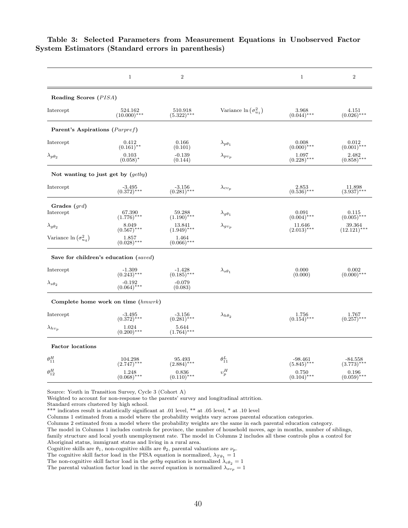|                                      | $\mathbf{1}$                          | $\overline{2}$            |                                | $\mathbf{1}$                   | $\sqrt{2}$                    |
|--------------------------------------|---------------------------------------|---------------------------|--------------------------------|--------------------------------|-------------------------------|
| Reading Scores (PISA)                |                                       |                           |                                |                                |                               |
| Intercept                            | 524.162<br>$(10.000)^{\frac{1}{2}**}$ | 510.918<br>$(5.322)$ ***  | Variance $\ln(\sigma_{u_1}^2)$ | 3.968<br>$(0.044)$ ***         | 4.151<br>$(0.026)$ ***        |
| Parent's Aspirations (Parpref)       |                                       |                           |                                |                                |                               |
| Intercept                            | 0.412<br>$(0.161)$ **                 | 0.166<br>(0.101)          | $\lambda_{p\theta_1}$          | 0.008<br>$(0.000)****$         | 0.012<br>$(0.001)$ ***        |
| $\lambda_{p\theta_2}$                | 0.103<br>$(0.058)^*$                  | $-0.139$<br>(0.144)       | $\lambda_{pv_p}$               | 1.097<br>$(0.228)$ ***         | 2.482<br>$(0.858)$ ***        |
| Not wanting to just get by $(getby)$ |                                       |                           |                                |                                |                               |
| Intercept                            | $-3.495$<br>$(0.372)$ ***             | $-3.156$<br>(0.281)***    | $\lambda_{cv_p}$               | 2.853<br>$(0.536)$ ***         | 11.898<br>$(3.937)$ ***       |
| Grades $(grad)$<br>Intercept         | 67.390<br>$(1.776)^{***}$             | 59.288<br>$(1.190)$ ***   | $\lambda_{g\theta_1}$          | 0.091<br>$(0.004)$ ***         | 0.115<br>$(0.005)$ ***        |
| $\lambda_g \theta_2$                 | 8.049<br>$(0.567)$ ***                | 13.841<br>$(1.949)$ ***   | $\lambda_{gv_p}$               | 11.646<br>$(2.013)$ ***        | 39.364<br>$(12.121)$ ***      |
| Variance $\ln (\sigma_{u_4}^2)$      | 1.857<br>$(0.028)$ ***                | 1.464<br>$(0.066)****$    |                                |                                |                               |
|                                      | Save for children's education (saved) |                           |                                |                                |                               |
| Intercept                            | $-1.309$<br>$(0.243)$ ***             | $-1.428$<br>$(0.185)$ *** | $\lambda_{s\theta_{1}}$        | 0.000<br>(0.000)               | 0.002<br>$(0.000)$ ***        |
| $\lambda_{s\theta_2}$                | $-0.192$<br>$(0.064)$ ***             | $-0.079$<br>(0.083)       |                                |                                |                               |
|                                      | Complete home work on time $(hmwr)$   |                           |                                |                                |                               |
| Intercept                            | $-3.495$<br>(0.372)***                | $-3.156$<br>(0.281)***    | $\lambda_{h\theta_2}$          | $\substack{1.756\\(0.154)***}$ | $\frac{1.767}{(0.257)^{***}}$ |
| $\lambda_{hv_p}$                     | 1.024<br>$(0.200)$ ***                | 5.644<br>$(1.764)$ ***    |                                |                                |                               |
| <b>Factor</b> locations              |                                       |                           |                                |                                |                               |
| $\theta_{11}^H$                      | $104.298$<br>(2.747)***               | 95.493<br>$(2.884)$ ***   | $\theta^L_{11}$                | $-98.461$<br>$(5.845)$ ***     | $-84.558$<br>(3.773)***       |
| $\theta_{12}^H$                      | 1.248<br>$(0.068)$ ***                | 0.836<br>$(0.110)$ ***    | $v_p^H$                        | 0.750<br>$(0.104)$ ***         | 0.196<br>$(0.059)$ ***        |

Table 3: Selected Parameters from Measurement Equations in Unobserved Factor System Estimators (Standard errors in parenthesis)

Source: Youth in Transition Survey, Cycle 3 (Cohort A)

Weighted to account for non-response to the parents' survey and longitudinal attrition.

Standard errors clustered by high school.

\*\*\* indicates result is statistically significant at .01 level, \*\* at .05 level, \* at .10 level

Columns 1 estimated from a model where the probability weights vary across parental education categories.

Columns 2 estimated from a model where the probability weights are the same in each parental education category.

The model in Columns 1 includes controls for province, the number of household moves, age in months, number of siblings, family structure and local youth unemployment rate. The model in Columns 2 includes all these controls plus a control for Aboriginal status, immigrant status and living in a rural area.

Cognitive skills are  $\theta_1$ , non-cognitive skills are  $\theta_2$ , parental valuations are  $\nu_p$ .

The cognitive skill factor load in the PISA equation is normalized,  $\lambda_{T\theta_1} = 1$ 

The non-cognitive skill factor load in the *getby* equation is normalized  $\lambda_{c\theta_2} = 1$ 

The parental valuation factor load in the saved equation is normalized  $\lambda_{s\nu_p} = 1$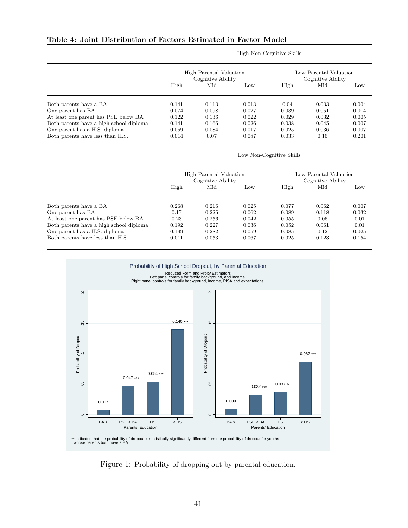|                                         | High Parental Valuation<br>Cognitive Ability |       |       | Low Parental Valuation<br>Cognitive Ability |       |       |
|-----------------------------------------|----------------------------------------------|-------|-------|---------------------------------------------|-------|-------|
|                                         | High                                         | Mid   | Low   | High                                        | Mid   | Low   |
| Both parents have a BA                  | 0.141                                        | 0.113 | 0.013 | 0.04                                        | 0.033 | 0.004 |
| One parent has BA                       | 0.074                                        | 0.098 | 0.027 | 0.039                                       | 0.051 | 0.014 |
| At least one parent has PSE below BA    | 0.122                                        | 0.136 | 0.022 | 0.029                                       | 0.032 | 0.005 |
| Both parents have a high school diploma | 0.141                                        | 0.166 | 0.026 | 0.038                                       | 0.045 | 0.007 |
| One parent has a H.S. diploma           | 0.059                                        | 0.084 | 0.017 | 0.025                                       | 0.036 | 0.007 |
| Both parents have less than H.S.        | 0.014                                        | 0.07  | 0.087 | 0.033                                       | 0.16  | 0.201 |

High Non-Cognitive Skills

Low Non-Cognitive Skills

|                                         | High Parental Valuation<br>Cognitive Ability |       |       | Low Parental Valuation<br>Cognitive Ability |       |       |
|-----------------------------------------|----------------------------------------------|-------|-------|---------------------------------------------|-------|-------|
|                                         | High                                         | Mid   | Low   | High                                        | Mid   | Low   |
| Both parents have a BA                  | 0.268                                        | 0.216 | 0.025 | 0.077                                       | 0.062 | 0.007 |
| One parent has BA                       | 0.17                                         | 0.225 | 0.062 | 0.089                                       | 0.118 | 0.032 |
| At least one parent has PSE below BA    | 0.23                                         | 0.256 | 0.042 | 0.055                                       | 0.06  | 0.01  |
| Both parents have a high school diploma | 0.192                                        | 0.227 | 0.036 | 0.052                                       | 0.061 | 0.01  |
| One parent has a H.S. diploma           | 0.199                                        | 0.282 | 0.059 | 0.085                                       | 0.12  | 0.025 |
| Both parents have less than H.S.        | 0.011                                        | 0.053 | 0.067 | 0.025                                       | 0.123 | 0.154 |



Figure 1: Probability of dropping out by parental education.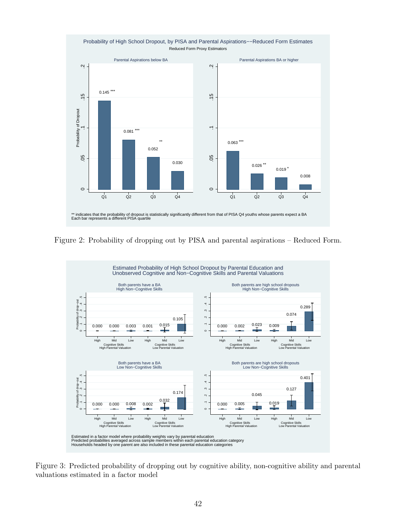

Figure 2: Probability of dropping out by PISA and parental aspirations – Reduced Form.



Figure 3: Predicted probability of dropping out by cognitive ability, non-cognitive ability and parental valuations estimated in a factor model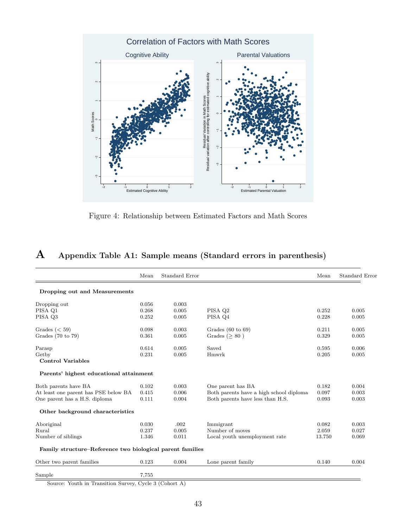

Figure 4: Relationship between Estimated Factors and Math Scores

| ${\bf A}$ | Appendix Table A1: Sample means (Standard errors in parenthesis) |  |  |  |  |
|-----------|------------------------------------------------------------------|--|--|--|--|
|-----------|------------------------------------------------------------------|--|--|--|--|

|                                                           | Mean  | Standard Error |                                         | Mean   | Standard Error |
|-----------------------------------------------------------|-------|----------------|-----------------------------------------|--------|----------------|
| Dropping out and Measurements                             |       |                |                                         |        |                |
| Dropping out                                              | 0.056 | 0.003          |                                         |        |                |
| PISA Q1                                                   | 0.268 | 0.005          | PISA Q2                                 | 0.252  | 0.005          |
| PISA Q3                                                   | 0.252 | 0.005          | PISA Q4                                 | 0.228  | 0.005          |
| Grades $(< 59)$                                           | 0.098 | 0.003          | Grades $(60 \text{ to } 69)$            | 0.211  | 0.005          |
| Grades $(70 \text{ to } 79)$                              | 0.361 | 0.005          | Grades ( $> 80$ )                       | 0.329  | 0.005          |
| Parasp                                                    | 0.614 | 0.005          | Saved                                   | 0.595  | 0.006          |
| Getby                                                     | 0.231 | 0.005          | Hmwrk                                   | 0.205  | 0.005          |
| <b>Control Variables</b>                                  |       |                |                                         |        |                |
| Parents' highest educational attainment                   |       |                |                                         |        |                |
| Both parents have BA                                      | 0.102 | 0.003          | One parent has BA                       | 0.182  | 0.004          |
| At least one parent has PSE below BA                      | 0.415 | 0.006          | Both parents have a high school diploma | 0.097  | 0.003          |
| One parent has a H.S. diploma                             | 0.111 | 0.004          | Both parents have less than H.S.        | 0.093  | 0.003          |
| Other background characteristics                          |       |                |                                         |        |                |
| Aboriginal                                                | 0.030 | .002           | Immigrant                               | 0.082  | 0.003          |
| Rural                                                     | 0.237 | 0.005          | Number of moves                         | 2.059  | 0.027          |
| Number of siblings                                        | 1.346 | 0.011          | Local youth unemployment rate           | 13.750 | 0.069          |
| Family structure-Reference two biological parent families |       |                |                                         |        |                |
| Other two parent families                                 | 0.123 | 0.004          | Lone parent family                      | 0.140  | 0.004          |
| Sample                                                    | 7,755 |                |                                         |        |                |

Source: Youth in Transition Survey, Cycle 3 (Cohort A)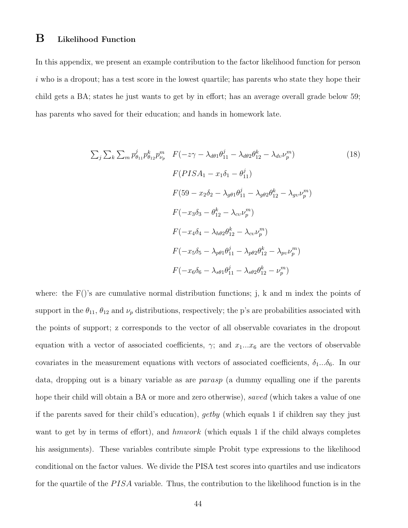### B Likelihood Function

In this appendix, we present an example contribution to the factor likelihood function for person  $i$  who is a dropout; has a test score in the lowest quartile; has parents who state they hope their child gets a BA; states he just wants to get by in effort; has an average overall grade below 59; has parents who saved for their education; and hands in homework late.

$$
\sum_{j} \sum_{k} \sum_{m} p_{\theta_{11}}^{j} p_{\theta_{12}}^{k} p_{\nu_{p}}^{m} F(-z\gamma - \lambda_{d\theta_{1}} \theta_{11}^{j} - \lambda_{d\theta_{2}} \theta_{12}^{k} - \lambda_{dv} \nu_{p}^{m})
$$
(18)  

$$
F(PISA_{1} - x_{1}\delta_{1} - \theta_{11}^{j})
$$
  

$$
F(59 - x_{2}\delta_{2} - \lambda_{g\theta_{1}} \theta_{11}^{j} - \lambda_{g\theta_{2}} \theta_{12}^{k} - \lambda_{gv} \nu_{p}^{m})
$$
  

$$
F(-x_{3}\delta_{3} - \theta_{12}^{k} - \lambda_{cv} \nu_{p}^{m})
$$
  

$$
F(-x_{4}\delta_{4} - \lambda_{h\theta_{2}} \theta_{12}^{k} - \lambda_{cv} \nu_{p}^{m})
$$
  

$$
F(-x_{5}\delta_{5} - \lambda_{p\theta_{1}} \theta_{11}^{j} - \lambda_{p\theta_{2}} \theta_{12}^{k} - \lambda_{pv} \nu_{p}^{m})
$$
  

$$
F(-x_{6}\delta_{6} - \lambda_{s\theta_{1}} \theta_{11}^{j} - \lambda_{s\theta_{2}} \theta_{12}^{k} - \nu_{p}^{m})
$$

where: the  $F()$ 's are cumulative normal distribution functions; j, k and m index the points of support in the  $\theta_{11}$ ,  $\theta_{12}$  and  $\nu_p$  distributions, respectively; the p's are probabilities associated with the points of support; z corresponds to the vector of all observable covariates in the dropout equation with a vector of associated coefficients,  $\gamma$ ; and  $x_1...x_6$  are the vectors of observable covariates in the measurement equations with vectors of associated coefficients,  $\delta_1...\delta_6$ . In our data, dropping out is a binary variable as are parasp (a dummy equalling one if the parents hope their child will obtain a BA or more and zero otherwise), saved (which takes a value of one if the parents saved for their child's education), getby (which equals 1 if children say they just want to get by in terms of effort), and hmwork (which equals 1 if the child always completes his assignments). These variables contribute simple Probit type expressions to the likelihood conditional on the factor values. We divide the PISA test scores into quartiles and use indicators for the quartile of the  $PISA$  variable. Thus, the contribution to the likelihood function is in the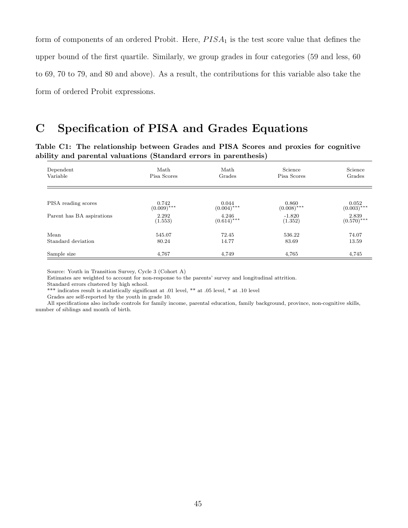form of components of an ordered Probit. Here,  $PISA<sub>1</sub>$  is the test score value that defines the upper bound of the first quartile. Similarly, we group grades in four categories (59 and less, 60 to 69, 70 to 79, and 80 and above). As a result, the contributions for this variable also take the form of ordered Probit expressions.

### C Specification of PISA and Grades Equations

Table C1: The relationship between Grades and PISA Scores and proxies for cognitive ability and parental valuations (Standard errors in parenthesis)

| Dependent<br>Variable     | Math<br>Pisa Scores     | Math<br>Grades         | Science<br>Pisa Scores    | Science<br>Grades         |
|---------------------------|-------------------------|------------------------|---------------------------|---------------------------|
|                           |                         |                        |                           |                           |
| PISA reading scores       | $0.742$<br>$(0.009)***$ | $(0.044)$ ***          | $(0.860$<br>$(0.008)$ *** | $(0.052$<br>$(0.003)$ *** |
| Parent has BA aspirations | 2.292<br>(1.553)        | 4.246<br>$(0.614)$ *** | $-1.820$<br>(1.352)       | $2.839$<br>(0.570)***     |
| Mean                      | 545.07                  | 72.45                  | 536.22                    | 74.07                     |
| Standard deviation        | 80.24                   | 14.77                  | 83.69                     | 13.59                     |
| Sample size               | 4,767                   | 4,749                  | 4.765                     | 4,745                     |

Source: Youth in Transition Survey, Cycle 3 (Cohort A)

Estimates are weighted to account for non-response to the parents' survey and longitudinal attrition.

Standard errors clustered by high school.

\*\*\* indicates result is statistically significant at .01 level, \*\* at .05 level, \* at .10 level

Grades are self-reported by the youth in grade 10.

All specifications also include controls for family income, parental education, family background, province, non-cognitive skills, number of siblings and month of birth.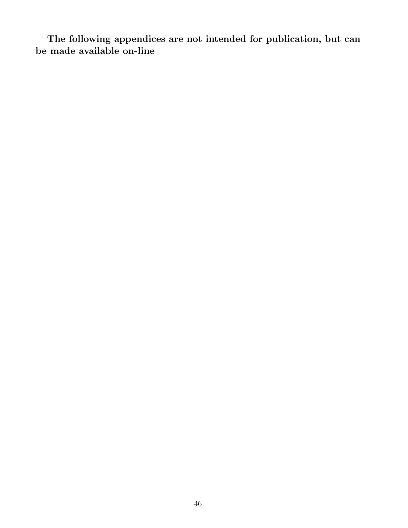The following appendices are not intended for publication, but can be made available on-line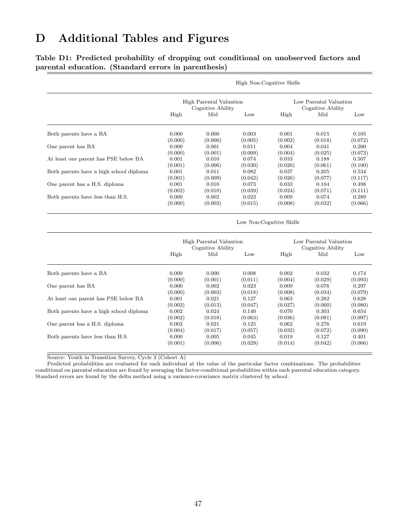## D Additional Tables and Figures

Table D1: Predicted probability of dropping out conditional on unobserved factors and parental education. (Standard errors in parenthesis)

|                                         | High Non-Cognitive Skills                                                                   |                                              |                             |                             |                                             |                             |  |  |
|-----------------------------------------|---------------------------------------------------------------------------------------------|----------------------------------------------|-----------------------------|-----------------------------|---------------------------------------------|-----------------------------|--|--|
|                                         |                                                                                             | High Parental Valuation<br>Cognitive Ability |                             |                             | Low Parental Valuation<br>Cognitive Ability |                             |  |  |
|                                         | High                                                                                        | Mid                                          | Low                         | High                        | Mid                                         | Low                         |  |  |
| Both parents have a BA                  | 0.000                                                                                       | 0.000                                        | 0.003                       | 0.001                       | 0.015                                       | 0.105                       |  |  |
| One parent has BA                       | (0.000)<br>0.000<br>(0.000)                                                                 | (0.000)<br>0.001<br>(0.001)                  | (0.005)<br>0.011<br>(0.009) | (0.002)<br>0.004<br>(0.004) | (0.018)<br>0.041<br>(0.025)                 | (0.072)<br>0.200<br>(0.073) |  |  |
| At least one parent has PSE below BA    | 0.001<br>(0.001)                                                                            | 0.010<br>(0.006)                             | 0.074<br>(0.030)            | 0.033<br>(0.020)            | 0.188<br>(0.061)                            | 0.507<br>(0.100)            |  |  |
| Both parents have a high school diploma | 0.001<br>(0.001)                                                                            | 0.011<br>(0.009)                             | 0.082<br>(0.042)            | 0.037<br>(0.026)            | 0.205<br>(0.077)                            | 0.534<br>(0.117)            |  |  |
| One parent has a H.S. diploma           | 0.001<br>(0.002)                                                                            | 0.010<br>(0.010)                             | 0.073<br>(0.039)            | 0.033<br>(0.024)            | 0.184<br>(0.071)                            | 0.498<br>(0.111)            |  |  |
| Both parents have less than H.S.        | 0.000<br>(0.000)                                                                            | 0.002<br>(0.003)                             | 0.023<br>(0.015)            | 0.009<br>(0.008)            | 0.074<br>(0.032)                            | 0.289<br>(0.066)            |  |  |
|                                         |                                                                                             |                                              |                             | Low Non-Cognitive Skills    |                                             |                             |  |  |
|                                         | High Parental Valuation<br>Low Parental Valuation<br>Cognitive Ability<br>Cognitive Ability |                                              |                             |                             |                                             |                             |  |  |
|                                         | High                                                                                        | Mid                                          | Low                         | High                        | Mid                                         | Low                         |  |  |
| Both parents have a BA                  | 0.000                                                                                       | 0.000                                        | 0.008                       | 0.002                       | 0.032                                       | 0.174                       |  |  |

|                                         | (0.000) | (0.001) | (0.011) | (0.004) | (0.029) | (0.093) |
|-----------------------------------------|---------|---------|---------|---------|---------|---------|
| One parent has BA                       | 0.000   | 0.002   | 0.023   | 0.009   | 0.076   | 0.297   |
|                                         | (0.000) | (0.003) | (0.018) | (0.008) | (0.034) | (0.079) |
| At least one parent has PSE below BA    | 0.001   | 0.021   | 0.127   | 0.063   | 0.282   | 0.628   |
|                                         | (0.002) | (0.013) | (0.047) | (0.027) | (0.060) | (0.080) |
| Both parents have a high school diploma | 0.002   | 0.024   | 0.140   | 0.070   | 0.303   | 0.654   |
|                                         | (0.002) | (0.018) | (0.063) | (0.036) | (0.081) | (0.097) |
| One parent has a H.S. diploma           | 0.002   | 0.021   | 0.125   | 0.062   | 0.276   | 0.619   |
|                                         | (0.004) | (0.017) | (0.057) | (0.032) | (0.072) | (0.090) |
| Both parents have less than H.S.        | 0.000   | 0.005   | 0.045   | 0.019   | 0.127   | 0.401   |
|                                         | (0.001) | (0.006) | (0.029) | (0.014) | (0.042) | (0.066) |

Source: Youth in Transition Survey, Cycle 3 (Cohort A)

Predicted probabilities are evaluated for each individual at the value of the particular factor combinations. The probabilities conditional on parental education are found by averaging the factor-conditional probabilities within each parental education category. Standard errors are found by the delta method using a variance-covariance matrix clustered by school.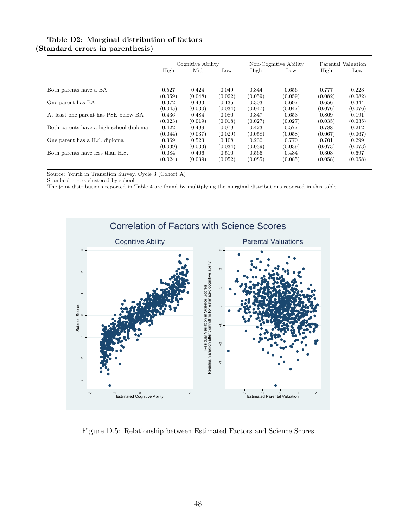#### Table D2: Marginal distribution of factors (Standard errors in parenthesis)

|                                         | Cognitive Ability |         | Non-Cognitive Ability |         | Parental Valuation |         |         |
|-----------------------------------------|-------------------|---------|-----------------------|---------|--------------------|---------|---------|
|                                         | High              | Mid     | Low                   | High    | Low                | High    | Low     |
| Both parents have a BA                  | 0.527             | 0.424   | 0.049                 | 0.344   | 0.656              | 0.777   | 0.223   |
|                                         | (0.059)           | (0.048) | (0.022)               | (0.059) | (0.059)            | (0.082) | (0.082) |
| One parent has BA                       | 0.372             | 0.493   | 0.135                 | 0.303   | 0.697              | 0.656   | 0.344   |
|                                         | (0.045)           | (0.030) | (0.034)               | (0.047) | (0.047)            | (0.076) | (0.076) |
| At least one parent has PSE below BA    | 0.436             | 0.484   | 0.080                 | 0.347   | 0.653              | 0.809   | 0.191   |
|                                         | (0.023)           | (0.019) | (0.018)               | (0.027) | (0.027)            | (0.035) | (0.035) |
| Both parents have a high school diploma | 0.422             | 0.499   | 0.079                 | 0.423   | 0.577              | 0.788   | 0.212   |
|                                         | (0.044)           | (0.037) | (0.029)               | (0.058) | (0.058)            | (0.067) | (0.067) |
| One parent has a H.S. diploma           | 0.369             | 0.523   | 0.108                 | 0.230   | 0.770              | 0.701   | 0.299   |
|                                         | (0.039)           | (0.033) | (0.034)               | (0.039) | (0.039)            | (0.073) | (0.073) |
| Both parents have less than H.S.        | 0.084             | 0.406   | 0.510                 | 0.566   | 0.434              | 0.303   | 0.697   |
|                                         | (0.024)           | (0.039) | (0.052)               | (0.085) | (0.085)            | (0.058) | (0.058) |

Source: Youth in Transition Survey, Cycle 3 (Cohort A)

Standard errors clustered by school.

The joint distributions reported in Table 4 are found by multiplying the marginal distributions reported in this table.



Figure D.5: Relationship between Estimated Factors and Science Scores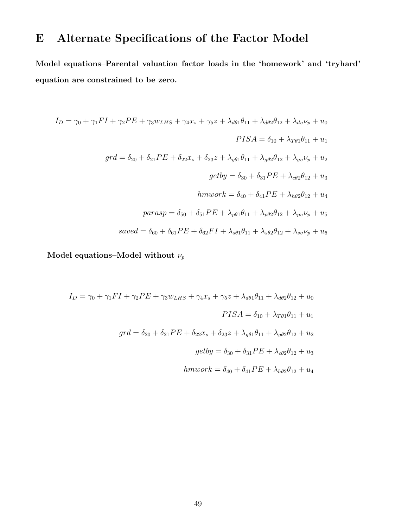## E Alternate Specifications of the Factor Model

Model equations–Parental valuation factor loads in the 'homework' and 'tryhard' equation are constrained to be zero.

$$
I_{D} = \gamma_{0} + \gamma_{1}FI + \gamma_{2}PE + \gamma_{3}w_{LHS} + \gamma_{4}x_{s} + \gamma_{5}z + \lambda_{d\theta1}\theta_{11} + \lambda_{d\theta2}\theta_{12} + \lambda_{dv}\nu_{p} + u_{0}
$$
  
\n
$$
PISA = \delta_{10} + \lambda_{T\theta1}\theta_{11} + u_{1}
$$
  
\n
$$
grd = \delta_{20} + \delta_{21}PE + \delta_{22}x_{s} + \delta_{23}z + \lambda_{g\theta1}\theta_{11} + \lambda_{g\theta2}\theta_{12} + \lambda_{gv}\nu_{p} + u_{2}
$$
  
\n
$$
getby = \delta_{30} + \delta_{31}PE + \lambda_{c\theta2}\theta_{12} + u_{3}
$$
  
\n
$$
hmwork = \delta_{40} + \delta_{41}PE + \lambda_{h\theta2}\theta_{12} + u_{4}
$$
  
\n
$$
parasp = \delta_{50} + \delta_{51}PE + \lambda_{p\theta1}\theta_{11} + \lambda_{p\theta2}\theta_{12} + \lambda_{pv}\nu_{p} + u_{5}
$$
  
\n
$$
saved = \delta_{60} + \delta_{61}PE + \delta_{62}FI + \lambda_{s\theta1}\theta_{11} + \lambda_{s\theta2}\theta_{12} + \lambda_{sv}\nu_{p} + u_{6}
$$

Model equations–Model without  $\nu_p$ 

$$
I_D = \gamma_0 + \gamma_1 FI + \gamma_2 PE + \gamma_3 w_{LHS} + \gamma_4 x_s + \gamma_5 z + \lambda_{d\theta_1} \theta_{11} + \lambda_{d\theta_2} \theta_{12} + u_0
$$
  
\n
$$
PISA = \delta_{10} + \lambda_{T\theta_1} \theta_{11} + u_1
$$
  
\n
$$
grd = \delta_{20} + \delta_{21} PE + \delta_{22} x_s + \delta_{23} z + \lambda_{g\theta_1} \theta_{11} + \lambda_{g\theta_2} \theta_{12} + u_2
$$
  
\n
$$
getby = \delta_{30} + \delta_{31} PE + \lambda_{c\theta_2} \theta_{12} + u_3
$$
  
\n
$$
hmwork = \delta_{40} + \delta_{41} PE + \lambda_{h\theta_2} \theta_{12} + u_4
$$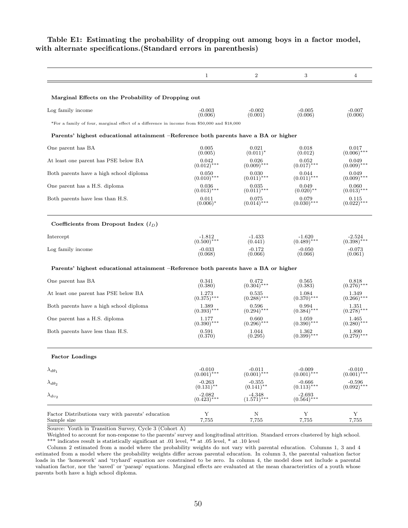| $\overline{2}$<br>3<br>Marginal Effects on the Probability of Dropping out | Table E1: Estimating the probability of dropping out among boys in a factor model,<br>with alternate specifications. (Standard errors in parenthesis) |  |  |
|----------------------------------------------------------------------------|-------------------------------------------------------------------------------------------------------------------------------------------------------|--|--|
|                                                                            |                                                                                                                                                       |  |  |
|                                                                            |                                                                                                                                                       |  |  |
|                                                                            | Log family income                                                                                                                                     |  |  |

#### Parents' highest educational attainment –Reference both parents have a BA or higher

| One parent has BA                       | 0.005                     | 0.021                  | 0.018                  | 0.017                 |
|-----------------------------------------|---------------------------|------------------------|------------------------|-----------------------|
|                                         | (0.005)                   | $(0.011)^*$            | (0.012)                | $(0.006)$ ***         |
| At least one parent has PSE below BA    | 0.042                     | 0.026                  | 0.052                  | 0.049                 |
|                                         | $(0.012)$ ***             | $(0.009)$ ***          | $(0.017)$ ***          | $(0.009)$ ***         |
| Both parents have a high school diploma | 0.050                     | 0.030                  | 0.044                  | 0.049                 |
|                                         | $(0.010)$ ***             | $(0.011)$ ***          | $(0.011)$ ***          | $(0.009)$ ***         |
| One parent has a H.S. diploma           | 0.036                     | 0.035                  | 0.049                  | 0.060                 |
|                                         | $(0.013)$ ***             | $(0.011)$ ***          | $(0.020)$ **           | $(0.013)$ ***         |
| Both parents have less than H.S.        | 0.011<br>$(0.006)^*$      | 0.075<br>$(0.014)$ *** | 0.079<br>$(0.030)$ *** | $0.115$<br>(0.022)*** |
| Coefficients from Dropout Index $(I_D)$ |                           |                        |                        |                       |
| Intercept                               | $-1.812$                  | $-1.433$               | $-1.620$               | $-2.524$              |
|                                         | $(0.500)^{\frac{1}{*}**}$ | (0.441)                | $(0.489)$ ***          | $(0.398)$ ***         |
| Log family income                       | $-0.033$                  | $-0.172$               | $-0.050$               | $-0.073$              |
|                                         | (0.068)                   | (0.066)                | (0.066)                | (0.061)               |

#### Parents' highest educational attainment –Reference both parents have a BA or higher

| One parent has BA                                                | 0.341<br>(0.380)          | $0.472$<br>(0.304)***     | 0.565<br>(0.383)              | $0.818$<br>(0.276)***         |
|------------------------------------------------------------------|---------------------------|---------------------------|-------------------------------|-------------------------------|
| At least one parent has PSE below BA                             | 1.273<br>$(0.375)$ ***    | 0.535<br>$(0.288)$ ***    | 1.084<br>$(0.370)$ ***        | 1.349<br>$(0.266)$ ***        |
| Both parents have a high school diploma                          | 1.389<br>$(0.393)$ ***    | 0.596<br>$(0.294)$ ***    | 0.994<br>$(0.384)$ ***        | 1.351<br>$(0.278)$ ***        |
| One parent has a H.S. diploma                                    | 1.177<br>$(0.390)$ ***    | 0.660<br>$(0.296)$ ***    | 1.059<br>$(0.390)$ ***        | 1.465<br>$(0.280)$ ***        |
| Both parents have less than H.S.                                 | 0.591<br>(0.370)          | 1.044<br>(0.295)          | $\frac{1.362}{(0.399)^{***}}$ | $\frac{1.890}{(0.279)^{***}}$ |
| <b>Factor Loadings</b>                                           |                           |                           |                               |                               |
| $\lambda_{d\theta_1}$                                            | $-0.010$<br>$(0.001)$ *** | $-0.011$<br>$(0.001)$ *** | $-0.009$<br>$(0.001)$ ***     | $-0.010$<br>$(0.001)$ ***     |
| $\lambda_{d\theta_2}$                                            | $-0.263$<br>$(0.131)$ **  | $-0.355$<br>$(0.141)$ **  | $-0.666$<br>$(0.113)$ ***     | $-0.596$<br>$(0.092)$ ***     |
| $\lambda_{dv_2}$                                                 | $-2.082$<br>(0.423)***    | $-4.348$<br>$(1.571)$ *** | $-2.693$<br>(0.564)***        |                               |
| Factor Distributions vary with parents' education<br>Sample size | Υ<br>7,755                | N<br>7,755                | Y<br>7,755                    | Y<br>7,755                    |

Source: Youth in Transition Survey, Cycle 3 (Cohort A)

Weighted to account for non-response to the parents' survey and longitudinal attrition. Standard errors clustered by high school. \*\*\* indicates result is statistically significant at .01 level, \*\* at .05 level, \* at .10 level

Column 2 estimated from a model where the probability weights do not vary with parental education. Columns 1, 3 and 4 estimated from a model where the probability weights differ across parental education. In column 3, the parental valuation factor loads in the 'homework' and 'tryhard' equation are constrained to be zero. In column 4, the model does not include a parental valuation factor, nor the 'saved' or 'parasp' equations. Marginal effects are evaluated at the mean characteristics of a youth whose parents both have a high school diploma.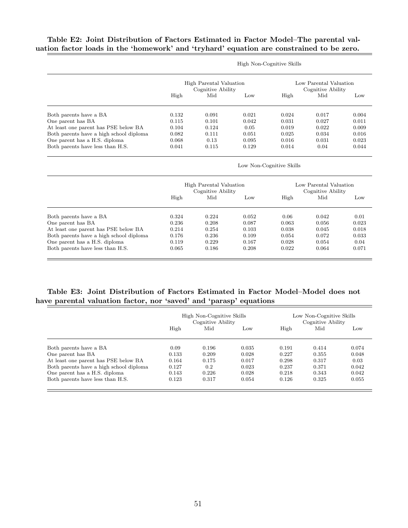#### Table E2: Joint Distribution of Factors Estimated in Factor Model–The parental valuation factor loads in the 'homework' and 'tryhard' equation are constrained to be zero.

|                                         |                                              |       |       | High Non-Cognitive Skills |                                             |       |
|-----------------------------------------|----------------------------------------------|-------|-------|---------------------------|---------------------------------------------|-------|
|                                         | High Parental Valuation<br>Cognitive Ability |       |       |                           | Low Parental Valuation<br>Cognitive Ability |       |
|                                         | High                                         | Mid   | Low   | High                      | Mid                                         | Low   |
| Both parents have a BA                  | 0.132                                        | 0.091 | 0.021 | 0.024                     | 0.017                                       | 0.004 |
| One parent has BA                       | 0.115                                        | 0.101 | 0.042 | 0.031                     | 0.027                                       | 0.011 |
| At least one parent has PSE below BA    | 0.104                                        | 0.124 | 0.05  | 0.019                     | 0.022                                       | 0.009 |
| Both parents have a high school diploma | 0.082                                        | 0.111 | 0.051 | 0.025                     | 0.034                                       | 0.016 |
| One parent has a H.S. diploma           | 0.068                                        | 0.13  | 0.095 | 0.016                     | 0.031                                       | 0.023 |
| Both parents have less than H.S.        | 0.041                                        | 0.115 | 0.129 | 0.014                     | 0.04                                        | 0.044 |

|                                         |                                              |       |       | Low Non-Cognitive Skills                    |       |       |
|-----------------------------------------|----------------------------------------------|-------|-------|---------------------------------------------|-------|-------|
|                                         | High Parental Valuation<br>Cognitive Ability |       |       | Low Parental Valuation<br>Cognitive Ability |       |       |
|                                         | High                                         | Mid   | Low   | High                                        | Mid   | Low   |
| Both parents have a BA                  | 0.324                                        | 0.224 | 0.052 | 0.06                                        | 0.042 | 0.01  |
| One parent has BA                       | 0.236                                        | 0.208 | 0.087 | 0.063                                       | 0.056 | 0.023 |
| At least one parent has PSE below BA    | 0.214                                        | 0.254 | 0.103 | 0.038                                       | 0.045 | 0.018 |
| Both parents have a high school diploma | 0.176                                        | 0.236 | 0.109 | 0.054                                       | 0.072 | 0.033 |
| One parent has a H.S. diploma           | 0.119                                        | 0.229 | 0.167 | 0.028                                       | 0.054 | 0.04  |
| Both parents have less than H.S.        | 0.065                                        | 0.186 | 0.208 | 0.022                                       | 0.064 | 0.071 |

#### Table E3: Joint Distribution of Factors Estimated in Factor Model–Model does not have parental valuation factor, nor 'saved' and 'parasp' equations

|                                         | High Non-Cognitive Skills<br>Cognitive Ability |       |       |       | Low Non-Cognitive Skills<br>Cognitive Ability |       |  |
|-----------------------------------------|------------------------------------------------|-------|-------|-------|-----------------------------------------------|-------|--|
|                                         | High                                           | Mid   | Low   | High  | Mid                                           | Low   |  |
| Both parents have a BA                  | 0.09                                           | 0.196 | 0.035 | 0.191 | 0.414                                         | 0.074 |  |
| One parent has BA                       | 0.133                                          | 0.209 | 0.028 | 0.227 | 0.355                                         | 0.048 |  |
| At least one parent has PSE below BA    | 0.164                                          | 0.175 | 0.017 | 0.298 | 0.317                                         | 0.03  |  |
| Both parents have a high school diploma | 0.127                                          | 0.2   | 0.023 | 0.237 | 0.371                                         | 0.042 |  |
| One parent has a H.S. diploma           | 0.143                                          | 0.226 | 0.028 | 0.218 | 0.343                                         | 0.042 |  |
| Both parents have less than H.S.        | 0.123                                          | 0.317 | 0.054 | 0.126 | 0.325                                         | 0.055 |  |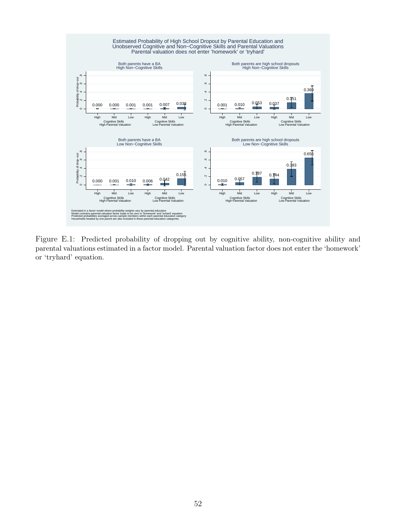

Figure E.1: Predicted probability of dropping out by cognitive ability, non-cognitive ability and parental valuations estimated in a factor model. Parental valuation factor does not enter the 'homework' or 'tryhard' equation.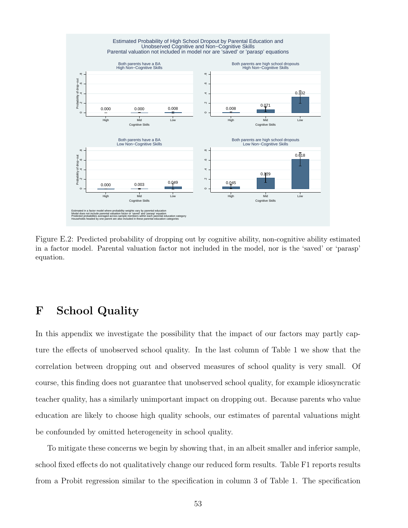

Figure E.2: Predicted probability of dropping out by cognitive ability, non-cognitive ability estimated in a factor model. Parental valuation factor not included in the model, nor is the 'saved' or 'parasp' equation.

### F School Quality

In this appendix we investigate the possibility that the impact of our factors may partly capture the effects of unobserved school quality. In the last column of Table 1 we show that the correlation between dropping out and observed measures of school quality is very small. Of course, this finding does not guarantee that unobserved school quality, for example idiosyncratic teacher quality, has a similarly unimportant impact on dropping out. Because parents who value education are likely to choose high quality schools, our estimates of parental valuations might be confounded by omitted heterogeneity in school quality.

To mitigate these concerns we begin by showing that, in an albeit smaller and inferior sample, school fixed effects do not qualitatively change our reduced form results. Table F1 reports results from a Probit regression similar to the specification in column 3 of Table 1. The specification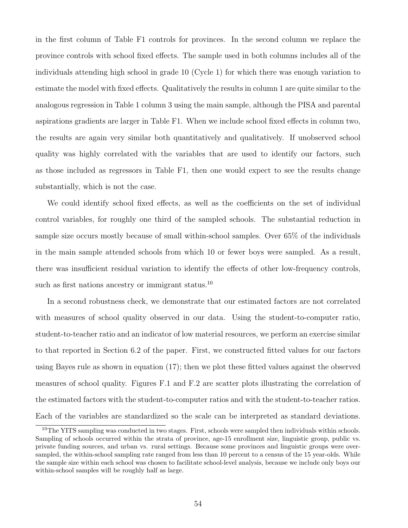in the first column of Table F1 controls for provinces. In the second column we replace the province controls with school fixed effects. The sample used in both columns includes all of the individuals attending high school in grade 10 (Cycle 1) for which there was enough variation to estimate the model with fixed effects. Qualitatively the results in column 1 are quite similar to the analogous regression in Table 1 column 3 using the main sample, although the PISA and parental aspirations gradients are larger in Table F1. When we include school fixed effects in column two, the results are again very similar both quantitatively and qualitatively. If unobserved school quality was highly correlated with the variables that are used to identify our factors, such as those included as regressors in Table F1, then one would expect to see the results change substantially, which is not the case.

We could identify school fixed effects, as well as the coefficients on the set of individual control variables, for roughly one third of the sampled schools. The substantial reduction in sample size occurs mostly because of small within-school samples. Over 65% of the individuals in the main sample attended schools from which 10 or fewer boys were sampled. As a result, there was insufficient residual variation to identify the effects of other low-frequency controls, such as first nations ancestry or immigrant status.<sup>10</sup>

In a second robustness check, we demonstrate that our estimated factors are not correlated with measures of school quality observed in our data. Using the student-to-computer ratio, student-to-teacher ratio and an indicator of low material resources, we perform an exercise similar to that reported in Section 6.2 of the paper. First, we constructed fitted values for our factors using Bayes rule as shown in equation (17); then we plot these fitted values against the observed measures of school quality. Figures F.1 and F.2 are scatter plots illustrating the correlation of the estimated factors with the student-to-computer ratios and with the student-to-teacher ratios. Each of the variables are standardized so the scale can be interpreted as standard deviations.

<sup>10</sup>The YITS sampling was conducted in two stages. First, schools were sampled then individuals within schools. Sampling of schools occurred within the strata of province, age-15 enrollment size, linguistic group, public vs. private funding sources, and urban vs. rural settings. Because some provinces and linguistic groups were oversampled, the within-school sampling rate ranged from less than 10 percent to a census of the 15 year-olds. While the sample size within each school was chosen to facilitate school-level analysis, because we include only boys our within-school samples will be roughly half as large.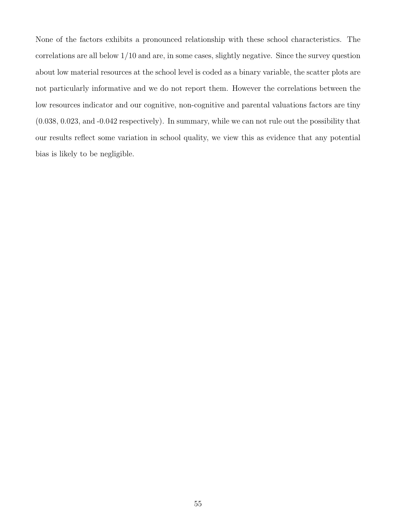None of the factors exhibits a pronounced relationship with these school characteristics. The correlations are all below 1/10 and are, in some cases, slightly negative. Since the survey question about low material resources at the school level is coded as a binary variable, the scatter plots are not particularly informative and we do not report them. However the correlations between the low resources indicator and our cognitive, non-cognitive and parental valuations factors are tiny (0.038, 0.023, and -0.042 respectively). In summary, while we can not rule out the possibility that our results reflect some variation in school quality, we view this as evidence that any potential bias is likely to be negligible.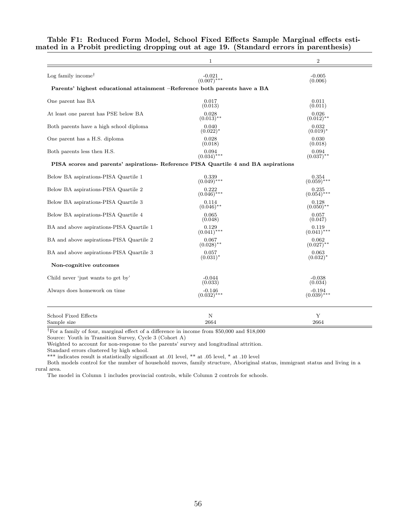| $\mathbf 1$                                                                        | $\overline{2}$          |
|------------------------------------------------------------------------------------|-------------------------|
| $-0.021$<br>(0.007)***                                                             | $-0.005$<br>(0.006)     |
| Parents' highest educational attainment -Reference both parents have a BA          |                         |
| 0.017                                                                              | 0.011                   |
| (0.013)                                                                            | (0.011)                 |
| 0.028                                                                              | 0.026                   |
| $(0.013)$ **                                                                       | $(0.012)$ **            |
| 0.040                                                                              | 0.032                   |
| $(0.022)^*$                                                                        | $(0.019)^*$             |
| 0.028                                                                              | 0.030                   |
| (0.018)                                                                            | (0.018)                 |
| 0.094                                                                              | 0.094                   |
| $(0.034)$ ***                                                                      | $(0.037)$ **            |
| PISA scores and parents' aspirations- Reference PISA Quartile 4 and BA aspirations |                         |
| 0.339                                                                              | 0.354<br>$(0.059)$ ***  |
| 0.222                                                                              | 0.235                   |
| $(0.046)$ ***                                                                      | $(0.054)$ ***           |
| 0.114                                                                              | 0.128                   |
| $(0.046)$ <sup>**</sup>                                                            | $(0.050)$ <sup>**</sup> |
| 0.065                                                                              | 0.057                   |
| (0.048)                                                                            | (0.047)                 |
| 0.129                                                                              | 0.119                   |
| $(0.041)$ ***                                                                      | $(0.041)$ ***           |
| 0.067                                                                              | 0.062                   |
| $(0.028)$ <sup>**</sup>                                                            | $(0.027)$ <sup>**</sup> |
| 0.057                                                                              | 0.063                   |
| $(0.031)^*$                                                                        | $(0.032)^*$             |
|                                                                                    |                         |
| $-0.044$                                                                           | $-0.038$                |
| (0.033)                                                                            | (0.034)                 |
| $-0.146$                                                                           | $-0.194$                |
| $(0.032)$ ***                                                                      | $(0.039)$ ***           |
| N                                                                                  | Y<br>2664               |
|                                                                                    | $(0.049)$ ***<br>2664   |

Table F1: Reduced Form Model, School Fixed Effects Sample Marginal effects estimated in a Probit predicting dropping out at age 19. (Standard errors in parenthesis)

†For a family of four, marginal effect of a difference in income from \$50,000 and \$18,000

Source: Youth in Transition Survey, Cycle 3 (Cohort A)

Weighted to account for non-response to the parents' survey and longitudinal attrition.

Standard errors clustered by high school.

\*\*\* indicates result is statistically significant at .01 level, \*\* at .05 level, \* at .10 level

Both models control for the number of household moves, family structure, Aboriginal status, immigrant status and living in a rural area.

The model in Column 1 includes provincial controls, while Column 2 controls for schools.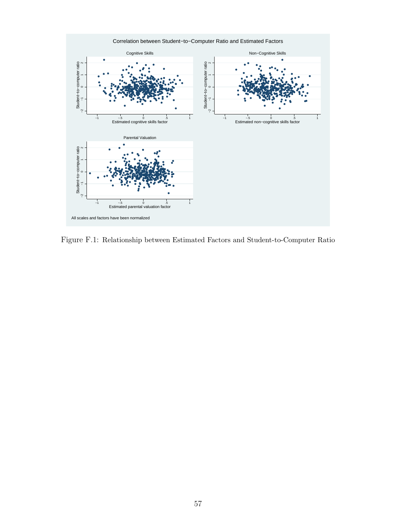

Figure F.1: Relationship between Estimated Factors and Student-to-Computer Ratio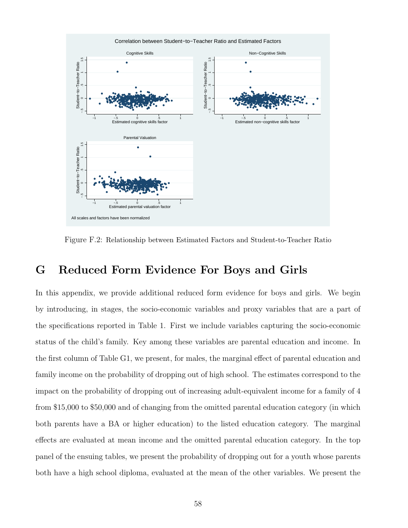

Figure F.2: Relationship between Estimated Factors and Student-to-Teacher Ratio

### G Reduced Form Evidence For Boys and Girls

In this appendix, we provide additional reduced form evidence for boys and girls. We begin by introducing, in stages, the socio-economic variables and proxy variables that are a part of the specifications reported in Table 1. First we include variables capturing the socio-economic status of the child's family. Key among these variables are parental education and income. In the first column of Table G1, we present, for males, the marginal effect of parental education and family income on the probability of dropping out of high school. The estimates correspond to the impact on the probability of dropping out of increasing adult-equivalent income for a family of 4 from \$15,000 to \$50,000 and of changing from the omitted parental education category (in which both parents have a BA or higher education) to the listed education category. The marginal effects are evaluated at mean income and the omitted parental education category. In the top panel of the ensuing tables, we present the probability of dropping out for a youth whose parents both have a high school diploma, evaluated at the mean of the other variables. We present the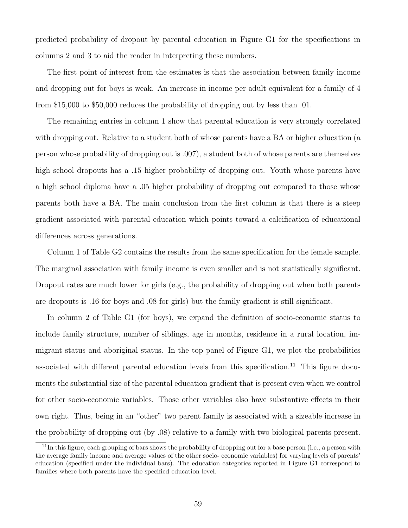predicted probability of dropout by parental education in Figure G1 for the specifications in columns 2 and 3 to aid the reader in interpreting these numbers.

The first point of interest from the estimates is that the association between family income and dropping out for boys is weak. An increase in income per adult equivalent for a family of 4 from \$15,000 to \$50,000 reduces the probability of dropping out by less than .01.

The remaining entries in column 1 show that parental education is very strongly correlated with dropping out. Relative to a student both of whose parents have a BA or higher education (a person whose probability of dropping out is .007), a student both of whose parents are themselves high school dropouts has a .15 higher probability of dropping out. Youth whose parents have a high school diploma have a .05 higher probability of dropping out compared to those whose parents both have a BA. The main conclusion from the first column is that there is a steep gradient associated with parental education which points toward a calcification of educational differences across generations.

Column 1 of Table G2 contains the results from the same specification for the female sample. The marginal association with family income is even smaller and is not statistically significant. Dropout rates are much lower for girls (e.g., the probability of dropping out when both parents are dropouts is .16 for boys and .08 for girls) but the family gradient is still significant.

In column 2 of Table G1 (for boys), we expand the definition of socio-economic status to include family structure, number of siblings, age in months, residence in a rural location, immigrant status and aboriginal status. In the top panel of Figure G1, we plot the probabilities associated with different parental education levels from this specification.<sup>11</sup> This figure documents the substantial size of the parental education gradient that is present even when we control for other socio-economic variables. Those other variables also have substantive effects in their own right. Thus, being in an "other" two parent family is associated with a sizeable increase in the probability of dropping out (by .08) relative to a family with two biological parents present.

 $11$ In this figure, each grouping of bars shows the probability of dropping out for a base person (i.e., a person with the average family income and average values of the other socio- economic variables) for varying levels of parents' education (specified under the individual bars). The education categories reported in Figure G1 correspond to families where both parents have the specified education level.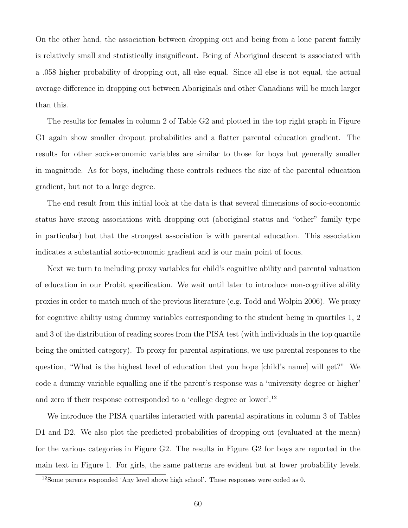On the other hand, the association between dropping out and being from a lone parent family is relatively small and statistically insignificant. Being of Aboriginal descent is associated with a .058 higher probability of dropping out, all else equal. Since all else is not equal, the actual average difference in dropping out between Aboriginals and other Canadians will be much larger than this.

The results for females in column 2 of Table G2 and plotted in the top right graph in Figure G1 again show smaller dropout probabilities and a flatter parental education gradient. The results for other socio-economic variables are similar to those for boys but generally smaller in magnitude. As for boys, including these controls reduces the size of the parental education gradient, but not to a large degree.

The end result from this initial look at the data is that several dimensions of socio-economic status have strong associations with dropping out (aboriginal status and "other" family type in particular) but that the strongest association is with parental education. This association indicates a substantial socio-economic gradient and is our main point of focus.

Next we turn to including proxy variables for child's cognitive ability and parental valuation of education in our Probit specification. We wait until later to introduce non-cognitive ability proxies in order to match much of the previous literature (e.g. Todd and Wolpin 2006). We proxy for cognitive ability using dummy variables corresponding to the student being in quartiles 1, 2 and 3 of the distribution of reading scores from the PISA test (with individuals in the top quartile being the omitted category). To proxy for parental aspirations, we use parental responses to the question, "What is the highest level of education that you hope [child's name] will get?" We code a dummy variable equalling one if the parent's response was a 'university degree or higher' and zero if their response corresponded to a 'college degree or lower'.<sup>12</sup>

We introduce the PISA quartiles interacted with parental aspirations in column 3 of Tables D1 and D2. We also plot the predicted probabilities of dropping out (evaluated at the mean) for the various categories in Figure G2. The results in Figure G2 for boys are reported in the main text in Figure 1. For girls, the same patterns are evident but at lower probability levels.

 $12$ Some parents responded 'Any level above high school'. These responses were coded as 0.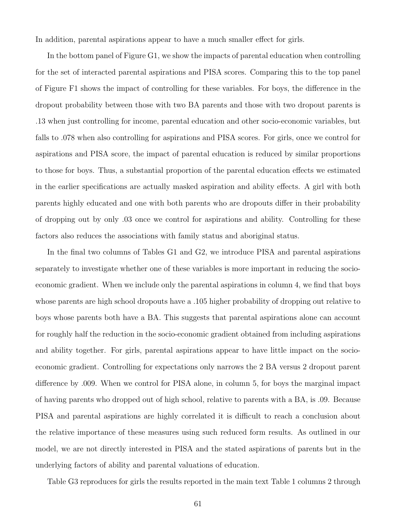In addition, parental aspirations appear to have a much smaller effect for girls.

In the bottom panel of Figure G1, we show the impacts of parental education when controlling for the set of interacted parental aspirations and PISA scores. Comparing this to the top panel of Figure F1 shows the impact of controlling for these variables. For boys, the difference in the dropout probability between those with two BA parents and those with two dropout parents is .13 when just controlling for income, parental education and other socio-economic variables, but falls to .078 when also controlling for aspirations and PISA scores. For girls, once we control for aspirations and PISA score, the impact of parental education is reduced by similar proportions to those for boys. Thus, a substantial proportion of the parental education effects we estimated in the earlier specifications are actually masked aspiration and ability effects. A girl with both parents highly educated and one with both parents who are dropouts differ in their probability of dropping out by only .03 once we control for aspirations and ability. Controlling for these factors also reduces the associations with family status and aboriginal status.

In the final two columns of Tables G1 and G2, we introduce PISA and parental aspirations separately to investigate whether one of these variables is more important in reducing the socioeconomic gradient. When we include only the parental aspirations in column 4, we find that boys whose parents are high school dropouts have a .105 higher probability of dropping out relative to boys whose parents both have a BA. This suggests that parental aspirations alone can account for roughly half the reduction in the socio-economic gradient obtained from including aspirations and ability together. For girls, parental aspirations appear to have little impact on the socioeconomic gradient. Controlling for expectations only narrows the 2 BA versus 2 dropout parent difference by .009. When we control for PISA alone, in column 5, for boys the marginal impact of having parents who dropped out of high school, relative to parents with a BA, is .09. Because PISA and parental aspirations are highly correlated it is difficult to reach a conclusion about the relative importance of these measures using such reduced form results. As outlined in our model, we are not directly interested in PISA and the stated aspirations of parents but in the underlying factors of ability and parental valuations of education.

Table G3 reproduces for girls the results reported in the main text Table 1 columns 2 through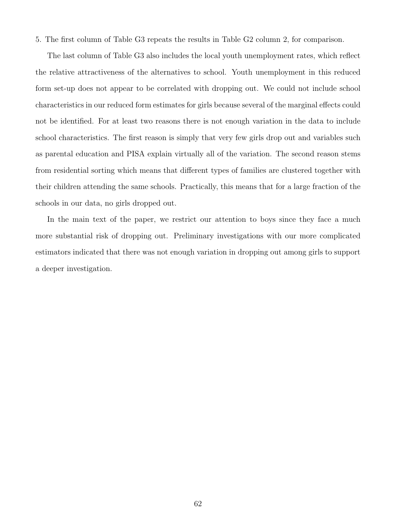5. The first column of Table G3 repeats the results in Table G2 column 2, for comparison.

The last column of Table G3 also includes the local youth unemployment rates, which reflect the relative attractiveness of the alternatives to school. Youth unemployment in this reduced form set-up does not appear to be correlated with dropping out. We could not include school characteristics in our reduced form estimates for girls because several of the marginal effects could not be identified. For at least two reasons there is not enough variation in the data to include school characteristics. The first reason is simply that very few girls drop out and variables such as parental education and PISA explain virtually all of the variation. The second reason stems from residential sorting which means that different types of families are clustered together with their children attending the same schools. Practically, this means that for a large fraction of the schools in our data, no girls dropped out.

In the main text of the paper, we restrict our attention to boys since they face a much more substantial risk of dropping out. Preliminary investigations with our more complicated estimators indicated that there was not enough variation in dropping out among girls to support a deeper investigation.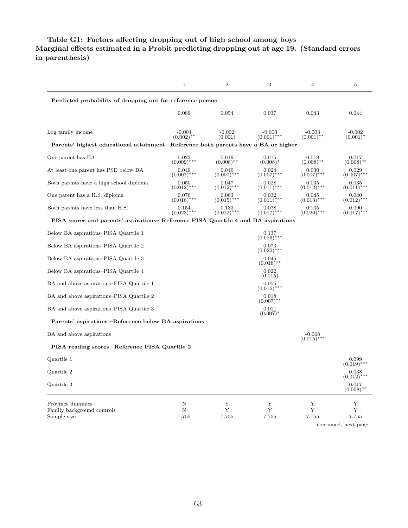#### Table G1: Factors affecting dropping out of high school among boys Marginal effects estimated in a Probit predicting dropping out at age 19. (Standard errors in parenthesis)

|                                                                                     | 1                        | $\boldsymbol{2}$       | 3                         | 4                         | 5                                            |
|-------------------------------------------------------------------------------------|--------------------------|------------------------|---------------------------|---------------------------|----------------------------------------------|
| Predicted probability of dropping out for reference person                          |                          |                        |                           |                           |                                              |
|                                                                                     | $_{0.089}$               | $_{0.054}$             | 0.037                     | 0.043                     | 0.044                                        |
| Log family income                                                                   | $-0.004$<br>$(0.002)$ ** | $-0.002$<br>(0.001)    | $-0.003$<br>$(0.001)$ *** | $-0.003$<br>$(0.001)$ **  | $-0.002$<br>$(0.001)^*$                      |
| Parents' highest educational attainment –Reference both parents have a BA or higher |                          |                        |                           |                           |                                              |
| One parent has BA                                                                   | 0.023<br>$(0.009)$ ***   | 0.019<br>$(0.008)$ **  | 0.015<br>$(0.008)^*$      | 0.018<br>$(0.008)$ **     | 0.017<br>$(0.008)$ **                        |
| At least one parent has PSE below BA                                                | 0.049<br>$(0.007)$ ***   | 0.040<br>$(0.007)$ *** | 0.024<br>$(0.007)$ ***    | 0.030<br>$(0.007)$ ***    | 0.029<br>$(0.007)$ ***                       |
| Both parents have a high school diploma                                             | 0.050<br>$(0.012)$ ***   | 0.047<br>$(0.012)$ *** | 0.028<br>$(0.011)$ ***    | 0.035<br>$(0.012)$ ***    | 0.035<br>$(0.011)$ ***                       |
| One parent has a H.S. diploma                                                       | 0.076<br>$(0.016)$ ***   | 0.063<br>$(0.015)$ *** | 0.032<br>$(0.011)$ ***    | 0.045<br>$(0.013)$ ***    | 0.040<br>$(0.012)$ ***                       |
| Both parents have less than H.S.                                                    | 0.154<br>$(0.023)$ ***   | 0.133<br>$(0.022)$ *** | 0.078<br>$(0.017)$ ***    | 0.105<br>$(0.020)$ ***    | 0.090<br>$(0.017)$ ***                       |
| PISA scores and parents' aspirations– Reference PISA Quartile 4 and BA aspirations  |                          |                        |                           |                           |                                              |
| Below BA aspirations–PISA Quartile 1                                                |                          |                        | 0.137<br>$(0.026)$ ***    |                           |                                              |
| Below BA aspirations–PISA Quartile 2                                                |                          |                        | 0.073<br>$(0.020)$ ***    |                           |                                              |
| Below BA aspirations–PISA Quartile 3                                                |                          |                        | 0.045<br>$(0.018)$ **     |                           |                                              |
| Below BA aspirations–PISA Quartile 4                                                |                          |                        | 0.022<br>(0.015)          |                           |                                              |
| BA and above aspirations–PISA Quartile 1                                            |                          |                        | 0.055<br>$(0.016)$ ***    |                           |                                              |
| BA and above aspirations–PISA Quartile 2                                            |                          |                        | 0.018<br>$(0.007)$ **     |                           |                                              |
| BA and above aspirations–PISA Quartile 3                                            |                          |                        | 0.011<br>$(0.007)^*$      |                           |                                              |
| Parents' aspirations –Reference below BA aspirations                                |                          |                        |                           |                           |                                              |
| BA and above aspirations                                                            |                          |                        |                           | $-0.068$<br>$(0.015)$ *** |                                              |
| PISA reading scores –Reference PISA Quartile 2                                      |                          |                        |                           |                           |                                              |
| Quartile 1                                                                          |                          |                        |                           |                           | 0.099<br>$(0.019)$ ***                       |
| Quartile 2                                                                          |                          |                        |                           |                           | 0.038<br>$(0.012)$ **                        |
| Quartile 3                                                                          |                          |                        |                           |                           | $0.017$<br>(0.008)**                         |
| Province dummies                                                                    | N                        | Y                      | Υ                         | Y                         | Y                                            |
| Family background controls<br>Sample size                                           | $\mathbf N$<br>7,755     | $\mathbf Y$<br>7,755   | $\mathbf Y$<br>7,755      | $\mathbf Y$<br>7,755      | $\mathbf Y$<br>7,755<br>continued, next page |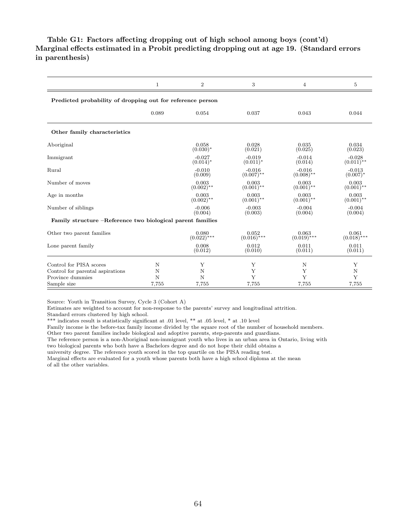#### Table G1: Factors affecting dropping out of high school among boys (cont'd) Marginal effects estimated in a Probit predicting dropping out at age 19. (Standard errors in parenthesis)

|                                                            | $\mathbf{1}$ | $\overline{2}$          | 3                        | 4                        | 5                        |  |  |  |  |
|------------------------------------------------------------|--------------|-------------------------|--------------------------|--------------------------|--------------------------|--|--|--|--|
| Predicted probability of dropping out for reference person |              |                         |                          |                          |                          |  |  |  |  |
|                                                            | 0.089        | 0.054                   | 0.037                    | 0.043                    | 0.044                    |  |  |  |  |
| Other family characteristics                               |              |                         |                          |                          |                          |  |  |  |  |
| Aboriginal                                                 |              | 0.058<br>$(0.030)*$     | 0.028<br>(0.021)         | 0.035<br>(0.025)         | 0.034<br>(0.023)         |  |  |  |  |
| Immigrant                                                  |              | $-0.027$<br>$(0.014)^*$ | $-0.019$<br>$(0.011)^*$  | $-0.014$<br>(0.014)      | $-0.028$<br>$(0.011)$ ** |  |  |  |  |
| Rural                                                      |              | $-0.010$<br>(0.009)     | $-0.016$<br>$(0.007)$ ** | $-0.016$<br>$(0.008)$ ** | $-0.013$<br>$(0.007)^*$  |  |  |  |  |
| Number of moves                                            |              | 0.003<br>$(0.002)$ **   | 0.003<br>$(0.001)$ **    | 0.003<br>$(0.001)$ **    | 0.003<br>$(0.001)$ **    |  |  |  |  |
| Age in months                                              |              | 0.003<br>$(0.002)$ **   | 0.003<br>$(0.001)$ **    | 0.003<br>$(0.001)$ **    | 0.003<br>$(0.001)$ **    |  |  |  |  |
| Number of siblings                                         |              | $-0.006$<br>(0.004)     | $-0.003$<br>(0.003)      | $-0.004$<br>(0.004)      | $-0.004$<br>(0.004)      |  |  |  |  |
| Family structure –Reference two biological parent families |              |                         |                          |                          |                          |  |  |  |  |
| Other two parent families                                  |              | 0.080<br>$(0.022)$ ***  | 0.052<br>$(0.016)$ ***   | 0.063<br>$(0.019)$ ***   | 0.061<br>$(0.018)$ ***   |  |  |  |  |
| Lone parent family                                         |              | 0.008<br>(0.012)        | 0.012<br>(0.010)         | 0.011<br>(0.011)         | 0.011<br>(0.011)         |  |  |  |  |
| Control for PISA scores                                    | N            | Υ                       | Υ                        | N                        | Υ                        |  |  |  |  |
| Control for parental aspirations                           | N            | N                       | Υ                        | Υ                        | N                        |  |  |  |  |
| Province dummies                                           | N            | $\mathbf N$             | Y                        | Y                        | Y                        |  |  |  |  |
| Sample size                                                | 7,755        | 7,755                   | 7,755                    | 7,755                    | 7,755                    |  |  |  |  |

Source: Youth in Transition Survey, Cycle 3 (Cohort A)

Estimates are weighted to account for non-response to the parents' survey and longitudinal attrition.

Standard errors clustered by high school.

\*\*\* indicates result is statistically significant at .01 level, \*\* at .05 level, \* at .10 level

Family income is the before-tax family income divided by the square root of the number of household members.

Other two parent families include biological and adoptive parents, step-parents and guardians.

The reference person is a non-Aboriginal non-immigrant youth who lives in an urban area in Ontario, living with

two biological parents who both have a Bachelors degree and do not hope their child obtains a

university degree. The reference youth scored in the top quartile on the PISA reading test.

Marginal effects are evaluated for a youth whose parents both have a high school diploma at the mean of all the other variables.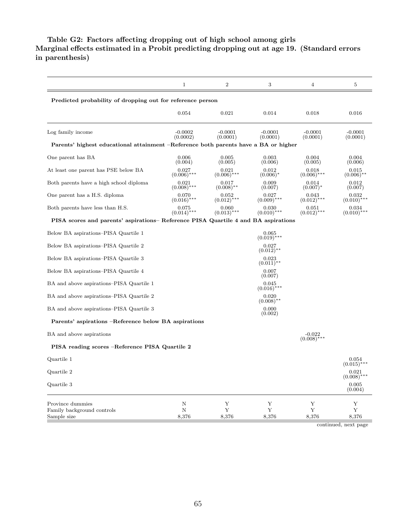#### Table G2: Factors affecting dropping out of high school among girls Marginal effects estimated in a Probit predicting dropping out at age 19. (Standard errors in parenthesis)

|                                                                                     | $\mathbf{1}$           | $\boldsymbol{2}$       | 3                      | 4                         | $\overline{5}$                                  |
|-------------------------------------------------------------------------------------|------------------------|------------------------|------------------------|---------------------------|-------------------------------------------------|
| Predicted probability of dropping out for reference person                          |                        |                        |                        |                           |                                                 |
|                                                                                     | 0.054                  | 0.021                  | 0.014                  | 0.018                     | 0.016                                           |
| Log family income                                                                   | $-0.0002$<br>(0.0002)  | $-0.0001$<br>(0.0001)  | $-0.0001$<br>(0.0001)  | $-0.0001$<br>(0.0001)     | $-0.0001$<br>(0.0001)                           |
| Parents' highest educational attainment –Reference both parents have a BA or higher |                        |                        |                        |                           |                                                 |
| One parent has BA                                                                   | 0.006<br>(0.004)       | 0.005<br>(0.005)       | 0.003<br>(0.006)       | 0.004<br>(0.005)          | 0.004<br>(0.006)                                |
| At least one parent has PSE below BA                                                | 0.027<br>$(0.006)$ *** | 0.021<br>$(0.006)$ *** | 0.012<br>$(0.006)^*$   | 0.018<br>$(0.006)$ ***    | 0.015<br>$(0.006)$ **                           |
| Both parents have a high school diploma                                             | 0.021<br>$(0.008)$ *** | 0.017<br>$(0.008)$ **  | 0.009<br>(0.007)       | 0.014<br>$(0.007)^*$      | 0.012<br>(0.007)                                |
| One parent has a H.S. diploma                                                       | 0.070<br>$(0.016)$ *** | 0.052<br>$(0.012)$ *** | 0.027<br>$(0.009)$ *** | 0.043<br>$(0.012)$ ***    | 0.032<br>$(0.010)$ ***                          |
| Both parents have less than H.S.                                                    | 0.075<br>$(0.014)$ *** | 0.060<br>$(0.013)$ *** | 0.030<br>$(0.010)$ *** | 0.051<br>$(0.012)$ ***    | 0.034<br>$(0.010)$ ***                          |
| PISA scores and parents' aspirations– Reference PISA Quartile 4 and BA aspirations  |                        |                        |                        |                           |                                                 |
| Below BA aspirations–PISA Quartile 1                                                |                        |                        | 0.065<br>$(0.019)$ *** |                           |                                                 |
| Below BA aspirations–PISA Quartile 2                                                |                        |                        | 0.027<br>$(0.012)$ **  |                           |                                                 |
| Below BA aspirations–PISA Quartile 3                                                |                        |                        | 0.023<br>$(0.011)$ **  |                           |                                                 |
| Below BA aspirations–PISA Quartile 4                                                |                        |                        | 0.007<br>(0.007)       |                           |                                                 |
| BA and above aspirations–PISA Quartile 1                                            |                        |                        | 0.045<br>$(0.016)$ *** |                           |                                                 |
| BA and above aspirations–PISA Quartile 2                                            |                        |                        | 0.020<br>$(0.008)$ **  |                           |                                                 |
| BA and above aspirations–PISA Quartile 3                                            |                        |                        | 0.000<br>(0.002)       |                           |                                                 |
| Parents' aspirations –Reference below BA aspirations                                |                        |                        |                        |                           |                                                 |
| BA and above aspirations                                                            |                        |                        |                        | $-0.022$<br>$(0.008)$ *** |                                                 |
| PISA reading scores –Reference PISA Quartile 2                                      |                        |                        |                        |                           |                                                 |
| Quartile 1                                                                          |                        |                        |                        |                           | 0.054<br>$(0.015)^*$                            |
| Quartile 2                                                                          |                        |                        |                        |                           | 0.021<br>(0.008)                                |
| Quartile 3                                                                          |                        |                        |                        |                           | $\begin{array}{c} 0.005 \\ (0.004) \end{array}$ |
| Province dummies                                                                    | N                      | $\mathbf Y$            | Y                      | Y                         | Y                                               |
| Family background controls<br>Sample size                                           | N<br>8,376             | Y<br>8,376             | Y<br>8,376             | Y<br>8,376                | Y<br>8,376<br>continued, next page              |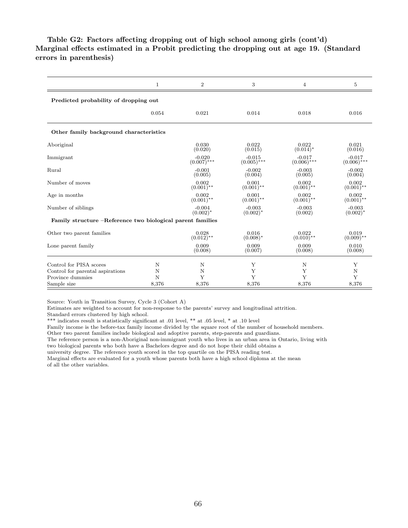#### Table G2: Factors affecting dropping out of high school among girls (cont'd) Marginal effects estimated in a Probit predicting the dropping out at age 19. (Standard errors in parenthesis)

|                                                            | $\mathbf{1}$ | $\overline{2}$            | 3                         | $\overline{4}$            | 5                         |
|------------------------------------------------------------|--------------|---------------------------|---------------------------|---------------------------|---------------------------|
| Predicted probability of dropping out                      |              |                           |                           |                           |                           |
|                                                            | 0.054        | 0.021                     | 0.014                     | 0.018                     | 0.016                     |
| Other family background characteristics                    |              |                           |                           |                           |                           |
| Aboriginal                                                 |              | 0.030<br>(0.020)          | 0.022<br>(0.015)          | 0.022<br>$(0.014)^*$      | 0.021<br>(0.016)          |
| Immigrant                                                  |              | $-0.020$<br>$(0.007)$ *** | $-0.015$<br>$(0.005)$ *** | $-0.017$<br>$(0.006)$ *** | $-0.017$<br>$(0.006)$ *** |
| Rural                                                      |              | $-0.001$<br>(0.005)       | $-0.002$<br>(0.004)       | $-0.003$<br>(0.005)       | $-0.002$<br>(0.004)       |
| Number of moves                                            |              | 0.002<br>$(0.001)$ **     | 0.001<br>$(0.001)$ **     | 0.002<br>$(0.001)$ **     | 0.002<br>$(0.001)$ **     |
| Age in months                                              |              | 0.002<br>$(0.001)$ **     | 0.001<br>$(0.001)$ **     | 0.002<br>$(0.001)$ **     | 0.002<br>$(0.001)$ **     |
| Number of siblings                                         |              | $-0.004$<br>$(0.002)^*$   | $-0.003$<br>$(0.002)^*$   | $-0.003$<br>(0.002)       | $-0.003$<br>$(0.002)^*$   |
| Family structure –Reference two biological parent families |              |                           |                           |                           |                           |
| Other two parent families                                  |              | 0.028<br>$(0.012)$ **     | 0.016<br>$(0.008)^*$      | 0.022<br>$(0.010)$ **     | 0.019<br>$(0.009)$ **     |
| Lone parent family                                         |              | 0.009<br>(0.008)          | 0.009<br>(0.007)          | 0.009<br>(0.008)          | 0.010<br>(0.008)          |
| Control for PISA scores                                    | N            | N                         | Υ                         | N                         | Υ                         |
| Control for parental aspirations                           | Ν            | N                         | Υ                         | Υ                         | N                         |
| Province dummies                                           | N            | Y                         | Y                         | Y                         | Y                         |
| Sample size                                                | 8,376        | 8,376                     | 8,376                     | 8,376                     | 8,376                     |

Source: Youth in Transition Survey, Cycle 3 (Cohort A)

Estimates are weighted to account for non-response to the parents' survey and longitudinal attrition.

Standard errors clustered by high school.

\*\*\* indicates result is statistically significant at .01 level, \*\* at .05 level, \* at .10 level

Family income is the before-tax family income divided by the square root of the number of household members.

Other two parent families include biological and adoptive parents, step-parents and guardians.

The reference person is a non-Aboriginal non-immigrant youth who lives in an urban area in Ontario, living with

two biological parents who both have a Bachelors degree and do not hope their child obtains a

university degree. The reference youth scored in the top quartile on the PISA reading test.

Marginal effects are evaluated for a youth whose parents both have a high school diploma at the mean of all the other variables.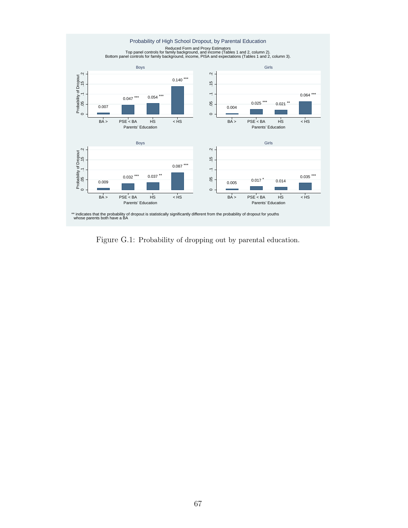

Figure G.1: Probability of dropping out by parental education.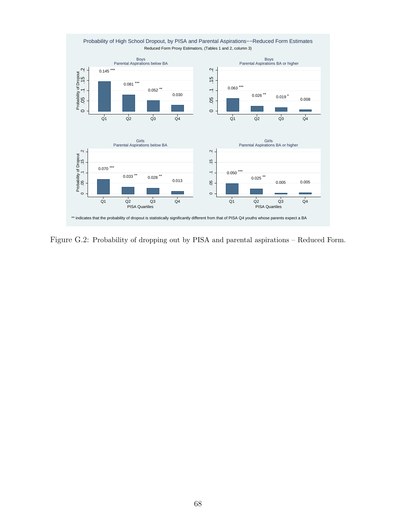

Figure G.2: Probability of dropping out by PISA and parental aspirations – Reduced Form.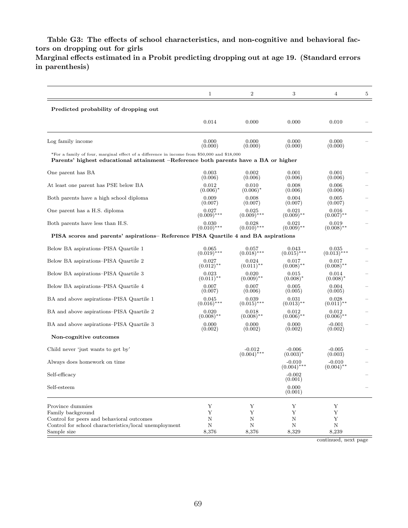Table G3: The effects of school characteristics, and non-cognitive and behavioral factors on dropping out for girls

Marginal effects estimated in a Probit predicting dropping out at age 19. (Standard errors in parenthesis)

|                                                                                                                                                                                    | $\mathbf{1}$           | 2                                     | 3                         | 4                        | 5 |
|------------------------------------------------------------------------------------------------------------------------------------------------------------------------------------|------------------------|---------------------------------------|---------------------------|--------------------------|---|
| Predicted probability of dropping out                                                                                                                                              |                        |                                       |                           |                          |   |
|                                                                                                                                                                                    | 0.014                  | 0.000                                 | 0.000                     | 0.010                    |   |
| Log family income                                                                                                                                                                  | 0.000<br>(0.000)       | 0.000<br>(0.000)                      | 0.000<br>(0.000)          | 0.000<br>(0.000)         |   |
| *For a family of four, marginal effect of a difference in income from \$50,000 and \$18,000<br>Parents' highest educational attainment –Reference both parents have a BA or higher |                        |                                       |                           |                          |   |
| One parent has BA                                                                                                                                                                  | 0.003<br>(0.006)       | 0.002<br>(0.006)                      | 0.001<br>(0.006)          | 0.001<br>(0.006)         |   |
| At least one parent has PSE below BA                                                                                                                                               | 0.012<br>$(0.006)^*$   | 0.010<br>$(0.006)^*$                  | 0.008<br>(0.006)          | 0.006<br>(0.006)         |   |
| Both parents have a high school diploma                                                                                                                                            | 0.009<br>(0.007)       | 0.008<br>(0.007)                      | 0.004<br>(0.007)          | 0.005<br>(0.007)         |   |
| One parent has a H.S. diploma                                                                                                                                                      | 0.027<br>$(0.009)$ *** | 0.025<br>$(0.009)$ ***                | 0.021<br>$(0.009)$ **     | 0.016<br>$(0.007)$ **    |   |
| Both parents have less than H.S.                                                                                                                                                   | 0.030<br>$(0.010)$ *** | 0.028<br>$(0.010)$ ***                | 0.021<br>$(0.009)$ **     | 0.019<br>$(0.008)$ **    |   |
| PISA scores and parents' aspirations-- Reference PISA Quartile 4 and BA aspirations                                                                                                |                        |                                       |                           |                          |   |
| Below BA aspirations–PISA Quartile 1                                                                                                                                               | 0.065<br>$(0.019)$ *** | 0.057<br>$(0.018)$ ***                | 0.043<br>$(0.015)$ ***    | 0.035<br>$(0.013)$ ***   |   |
| Below BA aspirations–PISA Quartile 2                                                                                                                                               | 0.027<br>$(0.012)$ **  | 0.024<br>$(0.011)$ **                 | 0.017<br>$(0.008)$ **     | 0.017<br>$(0.008)$ **    |   |
| Below BA aspirations–PISA Quartile 3                                                                                                                                               | 0.023<br>$(0.011)$ **  | 0.020<br>$(0.009)$ **                 | 0.015<br>$(0.008)^*$      | 0.014<br>$(0.008)^*$     |   |
| Below BA aspirations–PISA Quartile 4                                                                                                                                               | 0.007<br>(0.007)       | 0.007<br>(0.006)                      | 0.005<br>(0.005)          | 0.004<br>(0.005)         |   |
| BA and above aspirations–PISA Quartile 1                                                                                                                                           | 0.045<br>$(0.016)$ *** | 0.039<br>$(0.015)$ ***                | 0.031<br>$(0.013)$ **     | 0.028<br>$(0.011)$ **    |   |
| BA and above aspirations–PISA Quartile 2                                                                                                                                           | 0.020<br>$(0.008)$ **  | 0.018<br>$(0.008)$ **                 | 0.012<br>$(0.006)$ **     | 0.012<br>$(0.006)$ **    |   |
| BA and above aspirations–PISA Quartile 3                                                                                                                                           | 0.000<br>(0.002)       | 0.000<br>(0.002)                      | 0.000<br>(0.002)          | $-0.001$<br>(0.002)      |   |
| Non-cognitive outcomes                                                                                                                                                             |                        |                                       |                           |                          |   |
| Child never 'just wants to get by'                                                                                                                                                 |                        | $-0.012$<br>$(0.004)^{\frac{1}{*}**}$ | $-0.006$<br>$(0.003)^*$   | $-0.005$<br>(0.003)      |   |
| Always does homework on time                                                                                                                                                       |                        |                                       | $-0.010$<br>$(0.004)$ *** | $-0.010$<br>$(0.004)$ ** |   |
| Self-efficacy                                                                                                                                                                      |                        |                                       | $-0.002$<br>(0.001)       |                          |   |
| Self-esteem                                                                                                                                                                        |                        |                                       | 0.000<br>(0.001)          |                          |   |
| Province dummies                                                                                                                                                                   | Y                      | Υ                                     | Y                         | Υ                        |   |
| Family background<br>Control for peers and behavioral outcomes                                                                                                                     | Υ<br>N                 | Υ<br>N                                | Υ<br>N                    | Υ<br>Y                   |   |
| Control for school characteristics/local unemployment<br>Sample size                                                                                                               | $\mathbf N$<br>8,376   | $\mathbf N$<br>8,376                  | $\mathbf N$<br>8,329      | $\mathbf N$<br>8,239     |   |

continued, next page